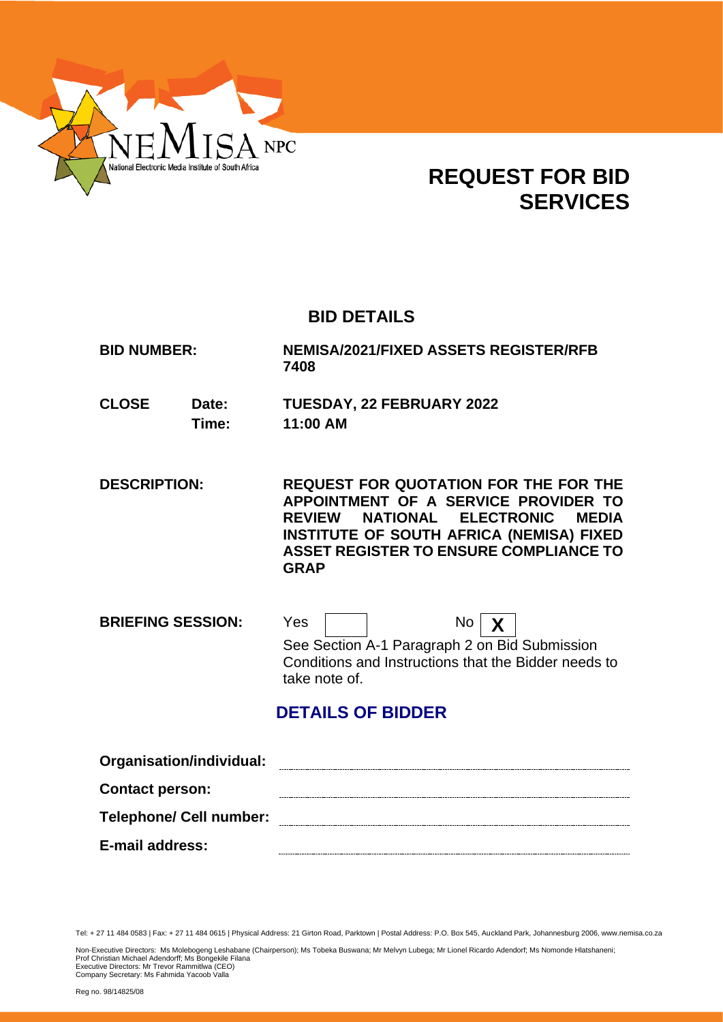

# **REQUEST FOR BID SERVICES**

# **BID DETAILS**

**BID NUMBER: NEMISA/2021/FIXED ASSETS REGISTER/RFB 7408**

- **CLOSE Date: TUESDAY, 22 FEBRUARY 2022 Time: 11:00 AM**
- **DESCRIPTION: REQUEST FOR QUOTATION FOR THE FOR THE APPOINTMENT OF A SERVICE PROVIDER TO REVIEW NATIONAL ELECTRONIC MEDIA INSTITUTE OF SOUTH AFRICA (NEMISA) FIXED ASSET REGISTER TO ENSURE COMPLIANCE TO GRAP**

**BRIEFING SESSION:** Yes  $\boxed{ }$  No  $\boxed{\chi}$ See Section A-1 Paragraph 2 on Bid Submission Conditions and Instructions that the Bidder needs to take note of.

# **DETAILS OF BIDDER**

| Organisation/individual:       |  |
|--------------------------------|--|
| <b>Contact person:</b>         |  |
| <b>Telephone/ Cell number:</b> |  |
| E-mail address:                |  |

Tel: + 27 11 484 0583 | Fax: + 27 11 484 0615 | Physical Address: 21 Girton Road, Parktown | Postal Address: P.O. Box 545, Auckland Park, Johannesburg 2006, www.nemisa.co.za

Non-Executive Directors: Ms Molebogeng Leshabane (Chairperson); Ms Tobeka Buswana; Mr Melvyn Lubega; Mr Lionel Ricardo Adendorf; Ms Nomonde Hlatshaneni;<br>Prof Christian Michael Adendorff; Ms Bongekile Filana<br>Executive Dire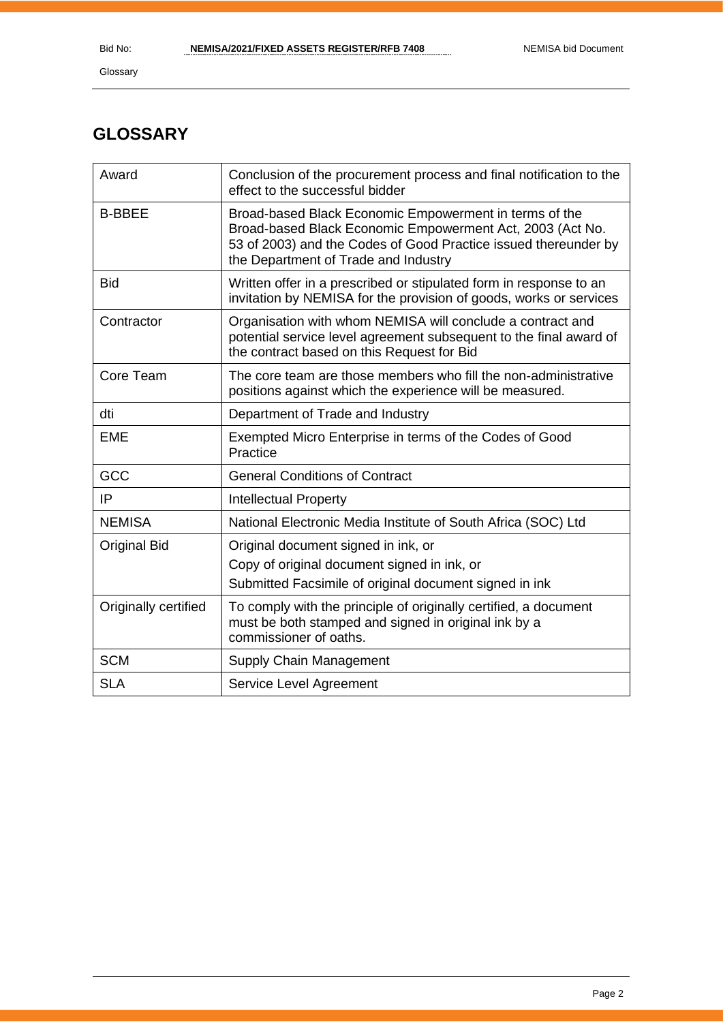# **GLOSSARY**

| Award                | Conclusion of the procurement process and final notification to the<br>effect to the successful bidder                                                                                                                         |
|----------------------|--------------------------------------------------------------------------------------------------------------------------------------------------------------------------------------------------------------------------------|
| <b>B-BBEE</b>        | Broad-based Black Economic Empowerment in terms of the<br>Broad-based Black Economic Empowerment Act, 2003 (Act No.<br>53 of 2003) and the Codes of Good Practice issued thereunder by<br>the Department of Trade and Industry |
| <b>Bid</b>           | Written offer in a prescribed or stipulated form in response to an<br>invitation by NEMISA for the provision of goods, works or services                                                                                       |
| Contractor           | Organisation with whom NEMISA will conclude a contract and<br>potential service level agreement subsequent to the final award of<br>the contract based on this Request for Bid                                                 |
| Core Team            | The core team are those members who fill the non-administrative<br>positions against which the experience will be measured.                                                                                                    |
| dti                  | Department of Trade and Industry                                                                                                                                                                                               |
| <b>EME</b>           | Exempted Micro Enterprise in terms of the Codes of Good<br>Practice                                                                                                                                                            |
| GCC                  | <b>General Conditions of Contract</b>                                                                                                                                                                                          |
| IP                   | <b>Intellectual Property</b>                                                                                                                                                                                                   |
| <b>NEMISA</b>        | National Electronic Media Institute of South Africa (SOC) Ltd                                                                                                                                                                  |
| <b>Original Bid</b>  | Original document signed in ink, or<br>Copy of original document signed in ink, or<br>Submitted Facsimile of original document signed in ink                                                                                   |
| Originally certified | To comply with the principle of originally certified, a document<br>must be both stamped and signed in original ink by a<br>commissioner of oaths.                                                                             |
| <b>SCM</b>           | Supply Chain Management                                                                                                                                                                                                        |
| <b>SLA</b>           | Service Level Agreement                                                                                                                                                                                                        |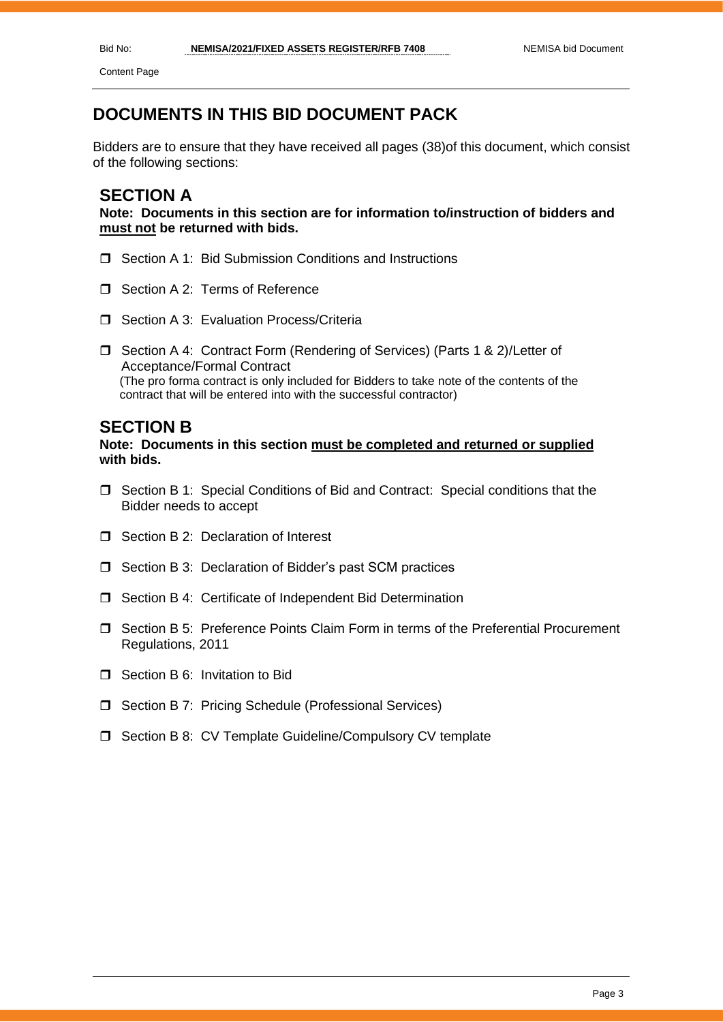Content Page

# **DOCUMENTS IN THIS BID DOCUMENT PACK**

Bidders are to ensure that they have received all pages (38)of this document, which consist of the following sections:

# **SECTION A**

**Note: Documents in this section are for information to/instruction of bidders and must not be returned with bids.**

- □ Section A 1: Bid Submission Conditions and Instructions
- Section A 2: Terms of Reference
- □ Section A 3: Evaluation Process/Criteria
- □ Section A 4: Contract Form (Rendering of Services) (Parts 1 & 2)/Letter of Acceptance/Formal Contract (The pro forma contract is only included for Bidders to take note of the contents of the contract that will be entered into with the successful contractor)

# **SECTION B**

#### **Note: Documents in this section must be completed and returned or supplied with bids.**

- $\Box$  Section B 1: Special Conditions of Bid and Contract: Special conditions that the Bidder needs to accept
- $\Box$  Section B 2: Declaration of Interest
- □ Section B 3: Declaration of Bidder's past SCM practices
- □ Section B 4: Certificate of Independent Bid Determination
- Section B 5: Preference Points Claim Form in terms of the Preferential Procurement Regulations, 2011
- □ Section B 6: Invitation to Bid
- □ Section B 7: Pricing Schedule (Professional Services)
- □ Section B 8: CV Template Guideline/Compulsory CV template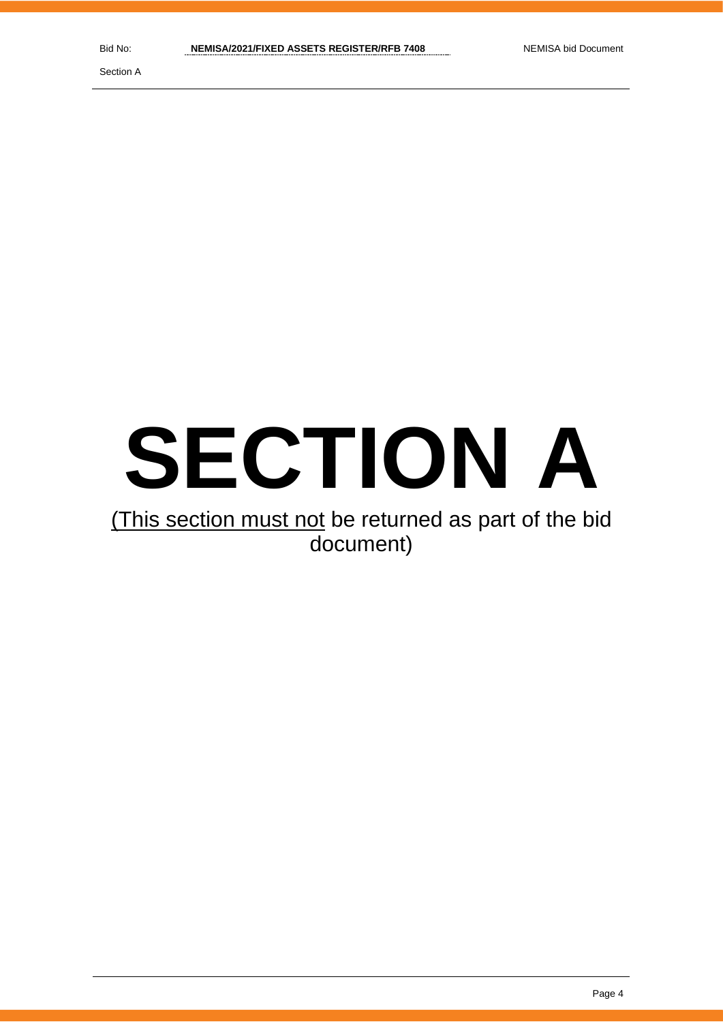Section A

# **SECTION A**

# (This section must not be returned as part of the bid document)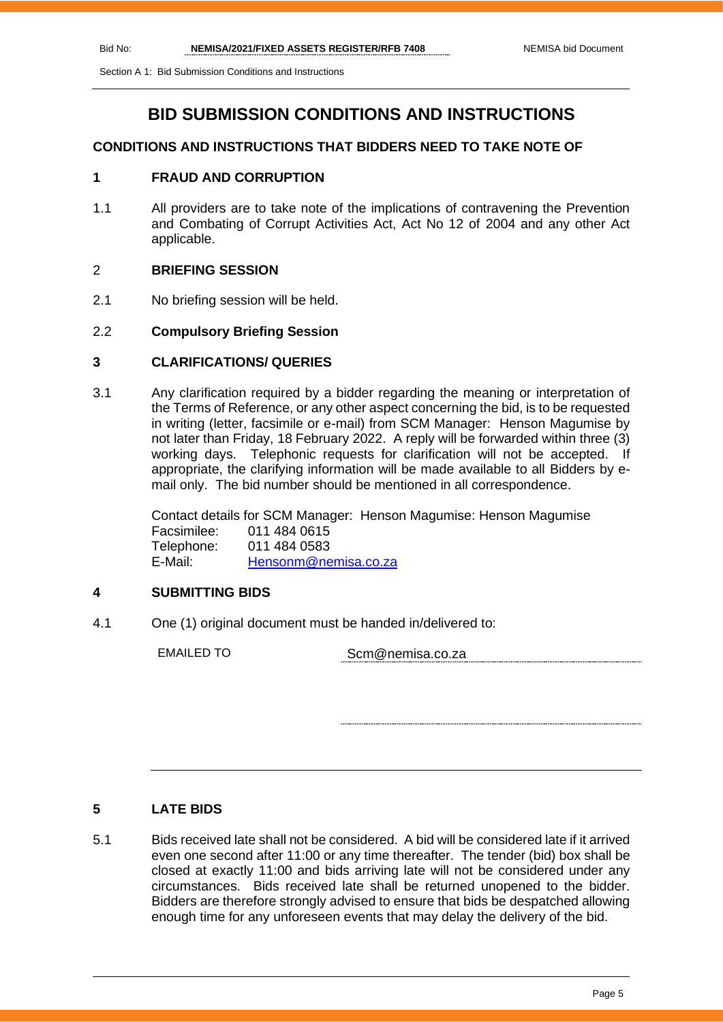Section A 1: Bid Submission Conditions and Instructions

# **BID SUBMISSION CONDITIONS AND INSTRUCTIONS**

#### **CONDITIONS AND INSTRUCTIONS THAT BIDDERS NEED TO TAKE NOTE OF**

# **1 FRAUD AND CORRUPTION**

1.1 All providers are to take note of the implications of contravening the Prevention and Combating of Corrupt Activities Act, Act No 12 of 2004 and any other Act applicable.

#### 2 **BRIEFING SESSION**

2.1 No briefing session will be held.

#### 2.2 **Compulsory Briefing Session**

#### **3 CLARIFICATIONS/ QUERIES**

3.1 Any clarification required by a bidder regarding the meaning or interpretation of the Terms of Reference, or any other aspect concerning the bid, is to be requested in writing (letter, facsimile or e-mail) from SCM Manager: Henson Magumise by not later than Friday, 18 February 2022. A reply will be forwarded within three (3) working days. Telephonic requests for clarification will not be accepted. If appropriate, the clarifying information will be made available to all Bidders by email only. The bid number should be mentioned in all correspondence.

> Contact details for SCM Manager: Henson Magumise: Henson Magumise Facsimilee: 011 484 0615 Telephone: 011 484 0583 E-Mail: [Hensonm@nemisa.co.za](mailto:Hensonm@nemisa.co.za)

# **4 SUBMITTING BIDS**

4.1 One (1) original document must be handed in/delivered to:

EMAILED TO Scm@nemisa.co.za

# **5 LATE BIDS**

5.1 Bids received late shall not be considered. A bid will be considered late if it arrived even one second after 11:00 or any time thereafter. The tender (bid) box shall be closed at exactly 11:00 and bids arriving late will not be considered under any circumstances. Bids received late shall be returned unopened to the bidder. Bidders are therefore strongly advised to ensure that bids be despatched allowing enough time for any unforeseen events that may delay the delivery of the bid.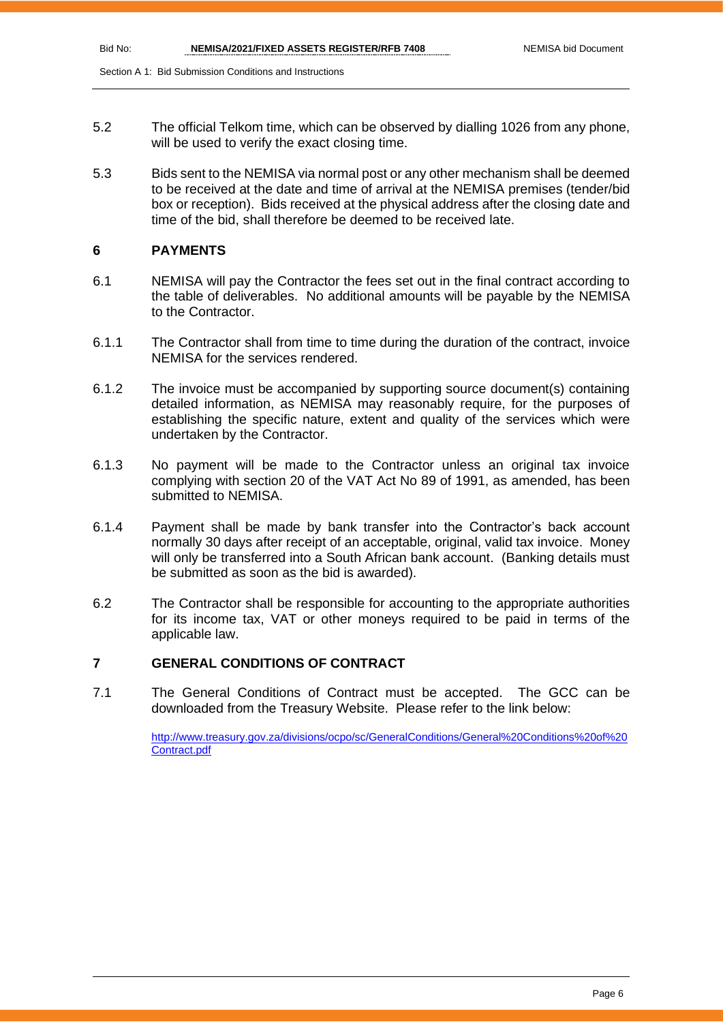Section A 1: Bid Submission Conditions and Instructions

- 5.2 The official Telkom time, which can be observed by dialling 1026 from any phone, will be used to verify the exact closing time.
- 5.3 Bids sent to the NEMISA via normal post or any other mechanism shall be deemed to be received at the date and time of arrival at the NEMISA premises (tender/bid box or reception). Bids received at the physical address after the closing date and time of the bid, shall therefore be deemed to be received late.

# **6 PAYMENTS**

- 6.1 NEMISA will pay the Contractor the fees set out in the final contract according to the table of deliverables. No additional amounts will be payable by the NEMISA to the Contractor.
- 6.1.1 The Contractor shall from time to time during the duration of the contract, invoice NEMISA for the services rendered.
- 6.1.2 The invoice must be accompanied by supporting source document(s) containing detailed information, as NEMISA may reasonably require, for the purposes of establishing the specific nature, extent and quality of the services which were undertaken by the Contractor.
- 6.1.3 No payment will be made to the Contractor unless an original tax invoice complying with section 20 of the VAT Act No 89 of 1991, as amended, has been submitted to NEMISA.
- 6.1.4 Payment shall be made by bank transfer into the Contractor's back account normally 30 days after receipt of an acceptable, original, valid tax invoice. Money will only be transferred into a South African bank account. (Banking details must be submitted as soon as the bid is awarded).
- 6.2 The Contractor shall be responsible for accounting to the appropriate authorities for its income tax, VAT or other moneys required to be paid in terms of the applicable law.

# **7 GENERAL CONDITIONS OF CONTRACT**

7.1 The General Conditions of Contract must be accepted. The GCC can be downloaded from the Treasury Website. Please refer to the link below:

> [http://www.treasury.gov.za/divisions/ocpo/sc/GeneralConditions/General%20Conditions%20of%20](http://www.treasury.gov.za/divisions/ocpo/sc/GeneralConditions/General%20Conditions%20of%20Contract.pdf) [Contract.pdf](http://www.treasury.gov.za/divisions/ocpo/sc/GeneralConditions/General%20Conditions%20of%20Contract.pdf)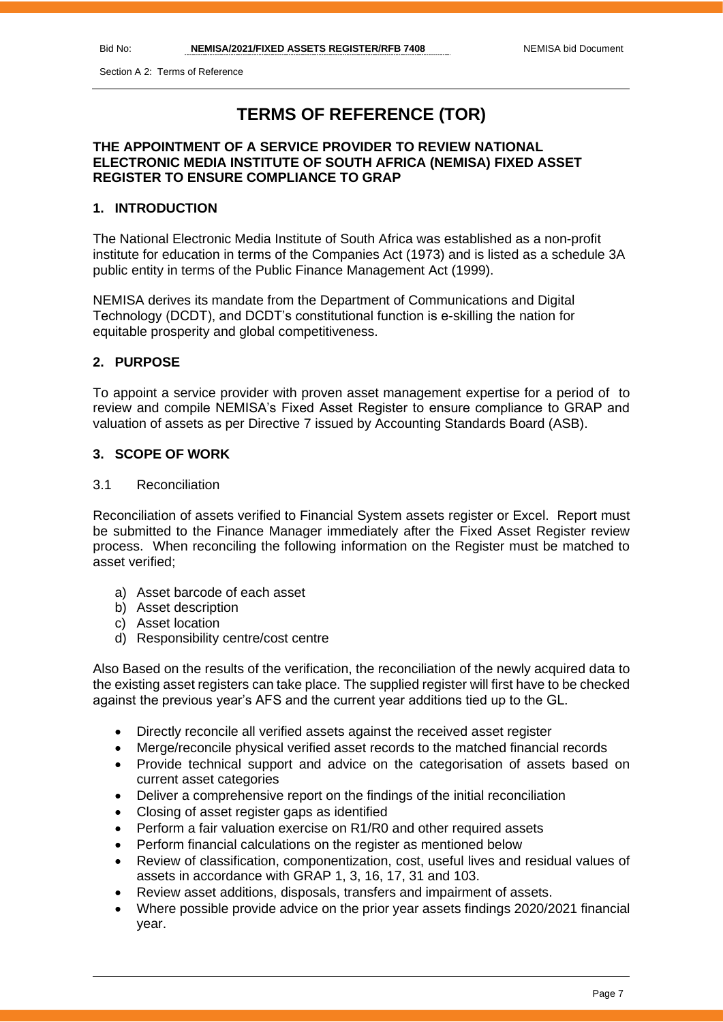Section A 2: Terms of Reference

# **TERMS OF REFERENCE (TOR)**

# **THE APPOINTMENT OF A SERVICE PROVIDER TO REVIEW NATIONAL ELECTRONIC MEDIA INSTITUTE OF SOUTH AFRICA (NEMISA) FIXED ASSET REGISTER TO ENSURE COMPLIANCE TO GRAP**

# **1. INTRODUCTION**

The National Electronic Media Institute of South Africa was established as a non-profit institute for education in terms of the Companies Act (1973) and is listed as a schedule 3A public entity in terms of the Public Finance Management Act (1999).

NEMISA derives its mandate from the Department of Communications and Digital Technology (DCDT), and DCDT's constitutional function is e-skilling the nation for equitable prosperity and global competitiveness.

# **2. PURPOSE**

To appoint a service provider with proven asset management expertise for a period of to review and compile NEMISA's Fixed Asset Register to ensure compliance to GRAP and valuation of assets as per Directive 7 issued by Accounting Standards Board (ASB).

# **3. SCOPE OF WORK**

#### 3.1 Reconciliation

Reconciliation of assets verified to Financial System assets register or Excel. Report must be submitted to the Finance Manager immediately after the Fixed Asset Register review process. When reconciling the following information on the Register must be matched to asset verified;

- a) Asset barcode of each asset
- b) Asset description
- c) Asset location
- d) Responsibility centre/cost centre

Also Based on the results of the verification, the reconciliation of the newly acquired data to the existing asset registers can take place. The supplied register will first have to be checked against the previous year's AFS and the current year additions tied up to the GL.

- Directly reconcile all verified assets against the received asset register
- Merge/reconcile physical verified asset records to the matched financial records
- Provide technical support and advice on the categorisation of assets based on current asset categories
- Deliver a comprehensive report on the findings of the initial reconciliation
- Closing of asset register gaps as identified
- Perform a fair valuation exercise on R1/R0 and other required assets
- Perform financial calculations on the register as mentioned below
- Review of classification, componentization, cost, useful lives and residual values of assets in accordance with GRAP 1, 3, 16, 17, 31 and 103.
- Review asset additions, disposals, transfers and impairment of assets.
- Where possible provide advice on the prior year assets findings 2020/2021 financial year.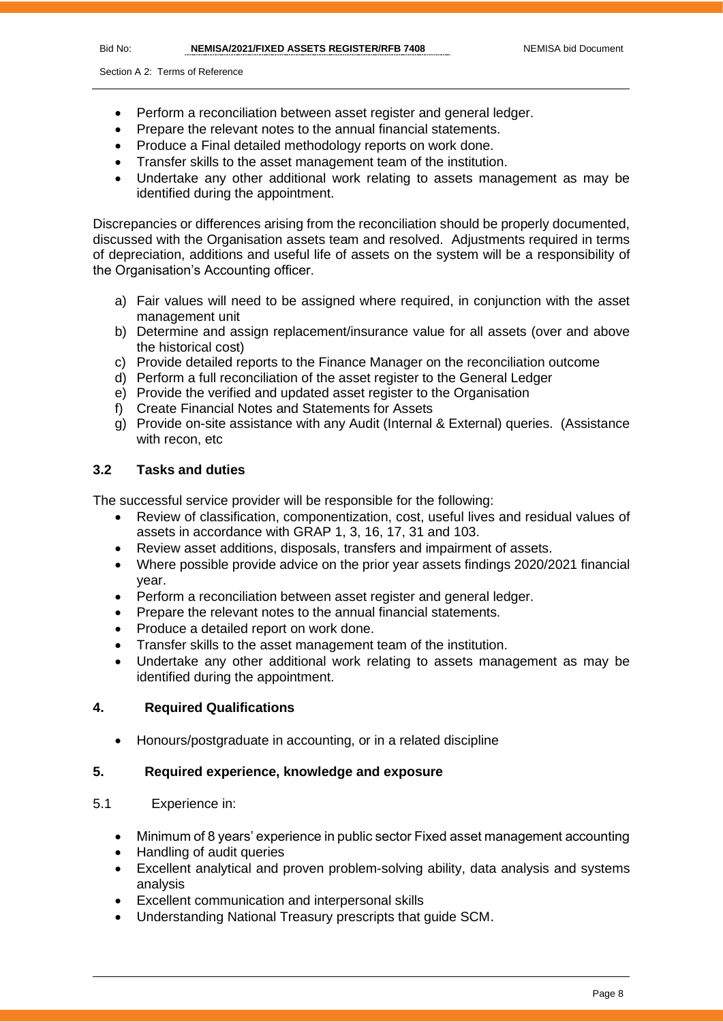- Perform a reconciliation between asset register and general ledger.
- Prepare the relevant notes to the annual financial statements.
- Produce a Final detailed methodology reports on work done.
- Transfer skills to the asset management team of the institution.
- Undertake any other additional work relating to assets management as may be identified during the appointment.

Discrepancies or differences arising from the reconciliation should be properly documented, discussed with the Organisation assets team and resolved. Adjustments required in terms of depreciation, additions and useful life of assets on the system will be a responsibility of the Organisation's Accounting officer.

- a) Fair values will need to be assigned where required, in conjunction with the asset management unit
- b) Determine and assign replacement/insurance value for all assets (over and above the historical cost)
- c) Provide detailed reports to the Finance Manager on the reconciliation outcome
- d) Perform a full reconciliation of the asset register to the General Ledger
- e) Provide the verified and updated asset register to the Organisation
- f) Create Financial Notes and Statements for Assets
- g) Provide on-site assistance with any Audit (Internal & External) queries. (Assistance with recon, etc

# **3.2 Tasks and duties**

The successful service provider will be responsible for the following:

- Review of classification, componentization, cost, useful lives and residual values of assets in accordance with GRAP 1, 3, 16, 17, 31 and 103.
- Review asset additions, disposals, transfers and impairment of assets.
- Where possible provide advice on the prior year assets findings 2020/2021 financial year.
- Perform a reconciliation between asset register and general ledger.
- Prepare the relevant notes to the annual financial statements.
- Produce a detailed report on work done.
- Transfer skills to the asset management team of the institution.
- Undertake any other additional work relating to assets management as may be identified during the appointment.

# **4. Required Qualifications**

• Honours/postgraduate in accounting, or in a related discipline

# **5. Required experience, knowledge and exposure**

# 5.1 Experience in:

- Minimum of 8 years' experience in public sector Fixed asset management accounting
- Handling of audit queries
- Excellent analytical and proven problem-solving ability, data analysis and systems analysis
- Excellent communication and interpersonal skills
- Understanding National Treasury prescripts that guide SCM.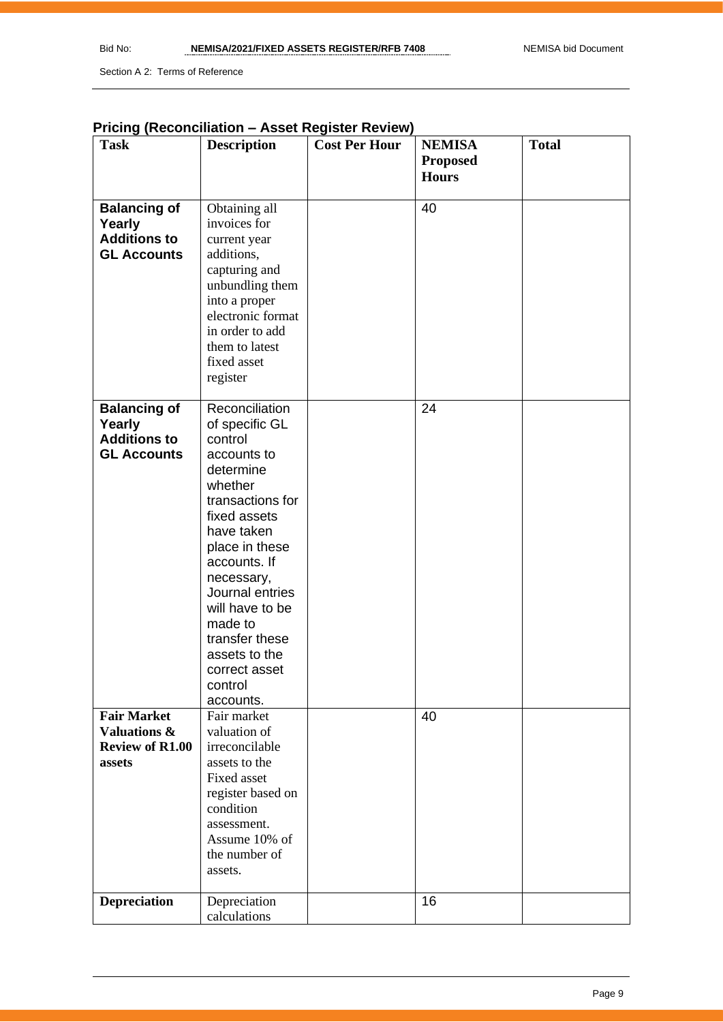Section A 2: Terms of Reference

# **Pricing (Reconciliation – Asset Register Review)**

| <b>Task</b>                                                                       | <b>Description</b>                                                                                                                                                                                                                                                                                                | <b>Cost Per Hour</b> | <b>NEMISA</b>   | <b>Total</b> |
|-----------------------------------------------------------------------------------|-------------------------------------------------------------------------------------------------------------------------------------------------------------------------------------------------------------------------------------------------------------------------------------------------------------------|----------------------|-----------------|--------------|
|                                                                                   |                                                                                                                                                                                                                                                                                                                   |                      | <b>Proposed</b> |              |
|                                                                                   |                                                                                                                                                                                                                                                                                                                   |                      | <b>Hours</b>    |              |
| <b>Balancing of</b><br>Yearly<br><b>Additions to</b><br><b>GL Accounts</b>        | Obtaining all<br>invoices for<br>current year<br>additions,<br>capturing and<br>unbundling them<br>into a proper<br>electronic format<br>in order to add<br>them to latest<br>fixed asset<br>register                                                                                                             |                      | 40              |              |
| <b>Balancing of</b><br>Yearly<br><b>Additions to</b><br><b>GL Accounts</b>        | Reconciliation<br>of specific GL<br>control<br>accounts to<br>determine<br>whether<br>transactions for<br>fixed assets<br>have taken<br>place in these<br>accounts. If<br>necessary,<br>Journal entries<br>will have to be<br>made to<br>transfer these<br>assets to the<br>correct asset<br>control<br>accounts. |                      | 24              |              |
| <b>Fair Market</b><br><b>Valuations &amp;</b><br><b>Review of R1.00</b><br>assets | Fair market<br>valuation of<br>irreconcilable<br>assets to the<br>Fixed asset<br>register based on<br>condition<br>assessment.<br>Assume 10% of<br>the number of<br>assets.                                                                                                                                       |                      | 40              |              |
| <b>Depreciation</b>                                                               | Depreciation<br>calculations                                                                                                                                                                                                                                                                                      |                      | 16              |              |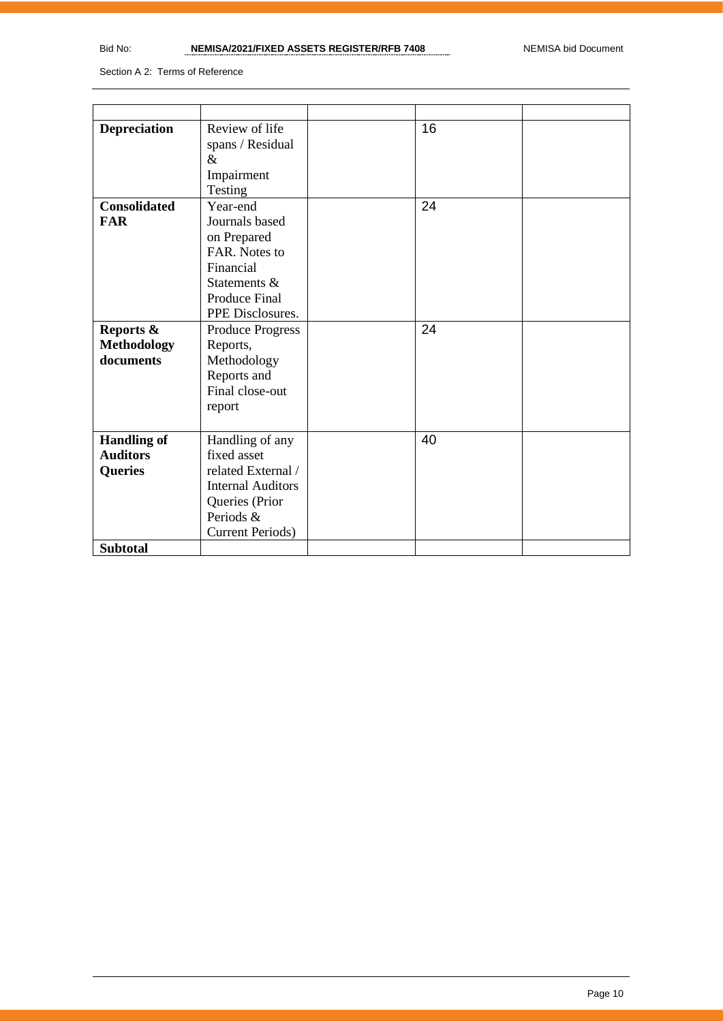Section A 2: Terms of Reference

| <b>Depreciation</b>                              | Review of life<br>spans / Residual<br>$\&$<br>Impairment<br>Testing                                                                         | 16 |  |
|--------------------------------------------------|---------------------------------------------------------------------------------------------------------------------------------------------|----|--|
| <b>Consolidated</b><br><b>FAR</b>                | Year-end<br>Journals based<br>on Prepared<br>FAR. Notes to<br>Financial<br>Statements &<br><b>Produce Final</b><br>PPE Disclosures.         | 24 |  |
| Reports &<br><b>Methodology</b><br>documents     | <b>Produce Progress</b><br>Reports,<br>Methodology<br>Reports and<br>Final close-out<br>report                                              | 24 |  |
| <b>Handling of</b><br><b>Auditors</b><br>Queries | Handling of any<br>fixed asset<br>related External /<br><b>Internal Auditors</b><br>Queries (Prior<br>Periods &<br><b>Current Periods</b> ) | 40 |  |
| <b>Subtotal</b>                                  |                                                                                                                                             |    |  |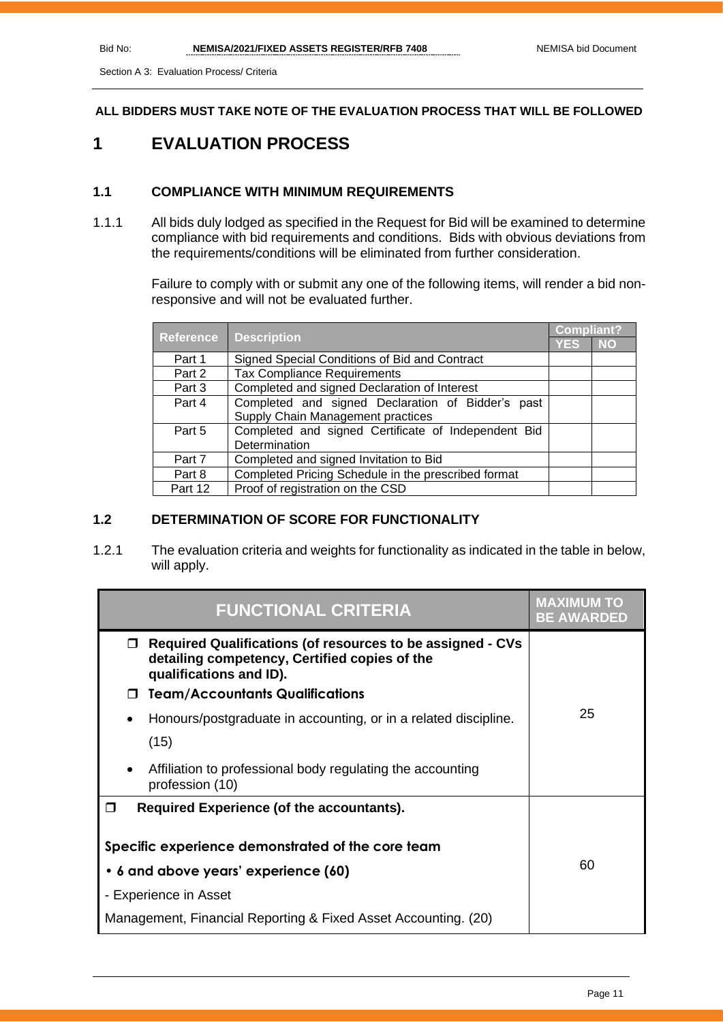Section A 3: Evaluation Process/ Criteria

**ALL BIDDERS MUST TAKE NOTE OF THE EVALUATION PROCESS THAT WILL BE FOLLOWED**

# **1 EVALUATION PROCESS**

# **1.1 COMPLIANCE WITH MINIMUM REQUIREMENTS**

1.1.1 All bids duly lodged as specified in the Request for Bid will be examined to determine compliance with bid requirements and conditions. Bids with obvious deviations from the requirements/conditions will be eliminated from further consideration.

> Failure to comply with or submit any one of the following items, will render a bid nonresponsive and will not be evaluated further.

|                  |                                                     |            | <b>Compliant?</b> |  |
|------------------|-----------------------------------------------------|------------|-------------------|--|
| <b>Reference</b> | <b>Description</b>                                  | <b>YES</b> | <b>NO</b>         |  |
| Part 1           | Signed Special Conditions of Bid and Contract       |            |                   |  |
| Part 2           | <b>Tax Compliance Requirements</b>                  |            |                   |  |
| Part 3           | Completed and signed Declaration of Interest        |            |                   |  |
| Part 4           | Completed and signed Declaration of Bidder's past   |            |                   |  |
|                  | Supply Chain Management practices                   |            |                   |  |
| Part 5           | Completed and signed Certificate of Independent Bid |            |                   |  |
|                  | Determination                                       |            |                   |  |
| Part 7           | Completed and signed Invitation to Bid              |            |                   |  |
| Part 8           | Completed Pricing Schedule in the prescribed format |            |                   |  |
| Part 12          | Proof of registration on the CSD                    |            |                   |  |

# **1.2 DETERMINATION OF SCORE FOR FUNCTIONALITY**

1.2.1 The evaluation criteria and weights for functionality as indicated in the table in below, will apply.

| <b>FUNCTIONAL CRITERIA</b>                                                                                                                         | MAXIMUM TO<br><b>BE AWARDED</b> |
|----------------------------------------------------------------------------------------------------------------------------------------------------|---------------------------------|
| <b>Required Qualifications (of resources to be assigned - CVs</b><br>0<br>detailing competency, Certified copies of the<br>qualifications and ID). |                                 |
| <b>Team/Accountants Qualifications</b>                                                                                                             |                                 |
| Honours/postgraduate in accounting, or in a related discipline.<br>٠                                                                               | 25                              |
| (15)                                                                                                                                               |                                 |
| Affiliation to professional body regulating the accounting<br>profession (10)                                                                      |                                 |
| Required Experience (of the accountants).<br>┓                                                                                                     |                                 |
| Specific experience demonstrated of the core team                                                                                                  |                                 |
| 6 and above years' experience (60)<br>٠                                                                                                            | 60                              |
| - Experience in Asset                                                                                                                              |                                 |
| Management, Financial Reporting & Fixed Asset Accounting. (20)                                                                                     |                                 |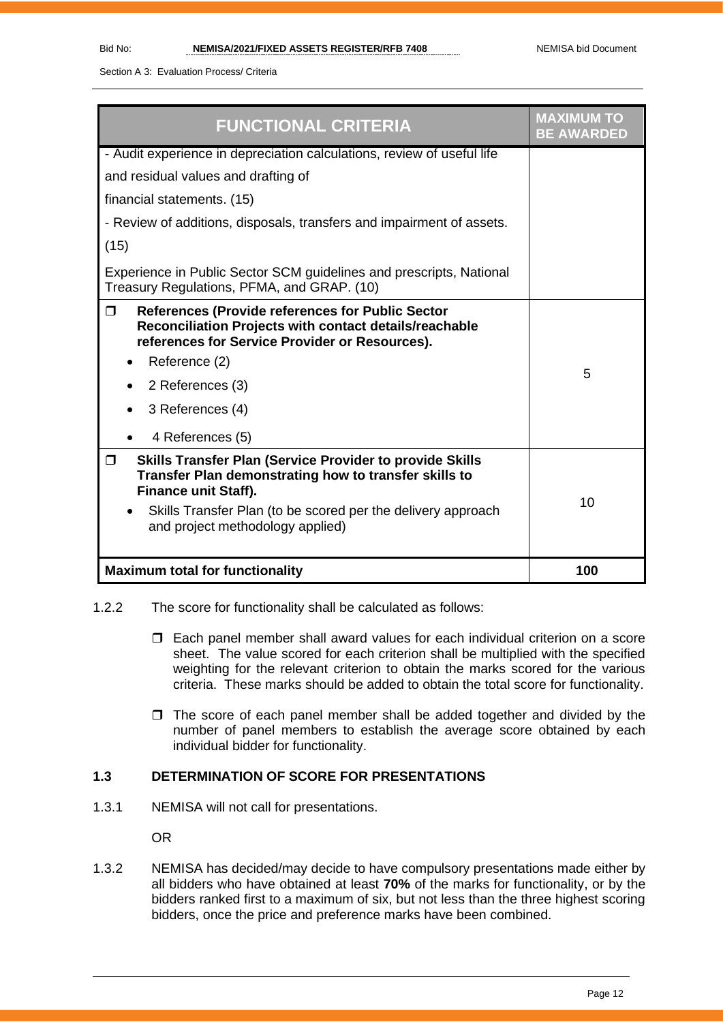Section A 3: Evaluation Process/ Criteria

| <b>FUNCTIONAL CRITERIA</b>                                                                                                                                                                                                                                                         | <b>MAXIMUM TO</b><br><b>BE AWARDED</b> |
|------------------------------------------------------------------------------------------------------------------------------------------------------------------------------------------------------------------------------------------------------------------------------------|----------------------------------------|
| - Audit experience in depreciation calculations, review of useful life                                                                                                                                                                                                             |                                        |
| and residual values and drafting of                                                                                                                                                                                                                                                |                                        |
| financial statements. (15)                                                                                                                                                                                                                                                         |                                        |
| - Review of additions, disposals, transfers and impairment of assets.                                                                                                                                                                                                              |                                        |
| (15)                                                                                                                                                                                                                                                                               |                                        |
| Experience in Public Sector SCM guidelines and prescripts, National<br>Treasury Regulations, PFMA, and GRAP. (10)                                                                                                                                                                  |                                        |
| <b>References (Provide references for Public Sector</b><br>$\Box$<br>Reconciliation Projects with contact details/reachable<br>references for Service Provider or Resources).<br>Reference (2)<br>2 References (3)<br>3 References (4)<br>4 References (5)                         | 5                                      |
| <b>Skills Transfer Plan (Service Provider to provide Skills</b><br>$\Box$<br>Transfer Plan demonstrating how to transfer skills to<br><b>Finance unit Staff).</b><br>Skills Transfer Plan (to be scored per the delivery approach<br>$\bullet$<br>and project methodology applied) | 10                                     |
| <b>Maximum total for functionality</b>                                                                                                                                                                                                                                             | 100                                    |

- 1.2.2 The score for functionality shall be calculated as follows:
	- Each panel member shall award values for each individual criterion on a score sheet. The value scored for each criterion shall be multiplied with the specified weighting for the relevant criterion to obtain the marks scored for the various criteria. These marks should be added to obtain the total score for functionality.
	- $\Box$  The score of each panel member shall be added together and divided by the number of panel members to establish the average score obtained by each individual bidder for functionality.

# **1.3 DETERMINATION OF SCORE FOR PRESENTATIONS**

1.3.1 NEMISA will not call for presentations.

OR

1.3.2 NEMISA has decided/may decide to have compulsory presentations made either by all bidders who have obtained at least **70%** of the marks for functionality, or by the bidders ranked first to a maximum of six, but not less than the three highest scoring bidders, once the price and preference marks have been combined.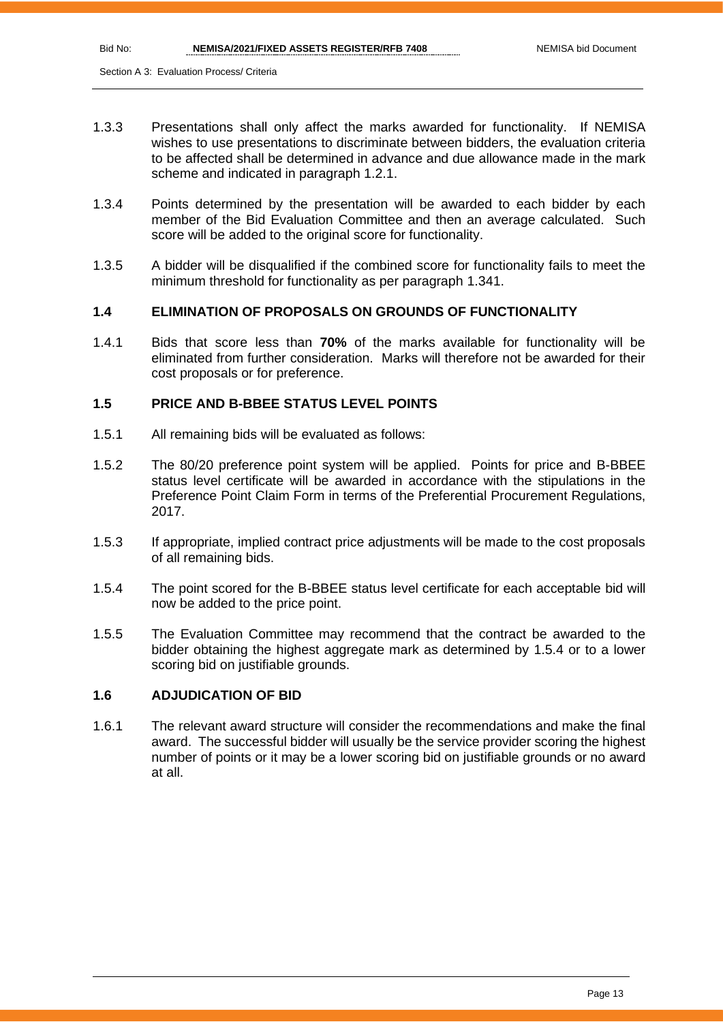- 1.3.3 Presentations shall only affect the marks awarded for functionality. If NEMISA wishes to use presentations to discriminate between bidders, the evaluation criteria to be affected shall be determined in advance and due allowance made in the mark scheme and indicated in paragraph 1.2.1.
- 1.3.4 Points determined by the presentation will be awarded to each bidder by each member of the Bid Evaluation Committee and then an average calculated. Such score will be added to the original score for functionality.
- 1.3.5 A bidder will be disqualified if the combined score for functionality fails to meet the minimum threshold for functionality as per paragraph 1.341.

# **1.4 ELIMINATION OF PROPOSALS ON GROUNDS OF FUNCTIONALITY**

1.4.1 Bids that score less than **70%** of the marks available for functionality will be eliminated from further consideration. Marks will therefore not be awarded for their cost proposals or for preference.

#### **1.5 PRICE AND B-BBEE STATUS LEVEL POINTS**

- 1.5.1 All remaining bids will be evaluated as follows:
- 1.5.2 The 80/20 preference point system will be applied. Points for price and B-BBEE status level certificate will be awarded in accordance with the stipulations in the Preference Point Claim Form in terms of the Preferential Procurement Regulations, 2017.
- 1.5.3 If appropriate, implied contract price adjustments will be made to the cost proposals of all remaining bids.
- 1.5.4 The point scored for the B-BBEE status level certificate for each acceptable bid will now be added to the price point.
- 1.5.5 The Evaluation Committee may recommend that the contract be awarded to the bidder obtaining the highest aggregate mark as determined by 1.5.4 or to a lower scoring bid on justifiable grounds.

#### **1.6 ADJUDICATION OF BID**

1.6.1 The relevant award structure will consider the recommendations and make the final award. The successful bidder will usually be the service provider scoring the highest number of points or it may be a lower scoring bid on justifiable grounds or no award at all.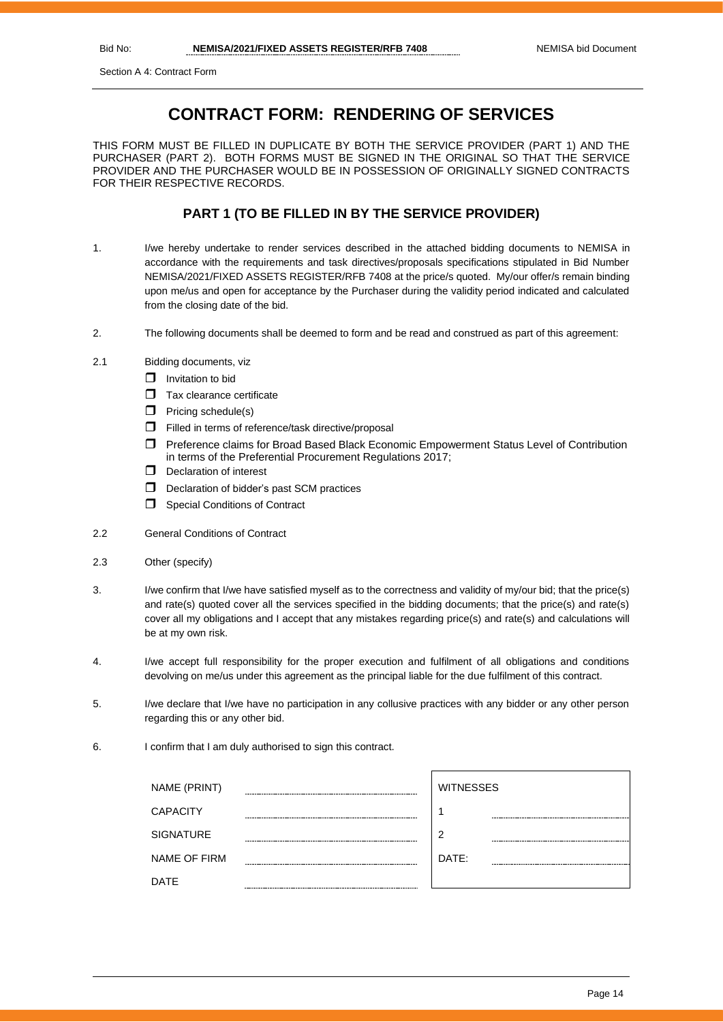Section A 4: Contract Form

# **CONTRACT FORM: RENDERING OF SERVICES**

THIS FORM MUST BE FILLED IN DUPLICATE BY BOTH THE SERVICE PROVIDER (PART 1) AND THE PURCHASER (PART 2). BOTH FORMS MUST BE SIGNED IN THE ORIGINAL SO THAT THE SERVICE PROVIDER AND THE PURCHASER WOULD BE IN POSSESSION OF ORIGINALLY SIGNED CONTRACTS FOR THEIR RESPECTIVE RECORDS.

# **PART 1 (TO BE FILLED IN BY THE SERVICE PROVIDER)**

- 1. I/we hereby undertake to render services described in the attached bidding documents to NEMISA in accordance with the requirements and task directives/proposals specifications stipulated in Bid Number NEMISA/2021/FIXED ASSETS REGISTER/RFB 7408 at the price/s quoted. My/our offer/s remain binding upon me/us and open for acceptance by the Purchaser during the validity period indicated and calculated from the closing date of the bid.
- 2. The following documents shall be deemed to form and be read and construed as part of this agreement:
- 2.1 Bidding documents, viz
	- $\Box$  Invitation to bid
	- $\Box$  Tax clearance certificate
	- $\Box$  Pricing schedule(s)
	- Filled in terms of reference/task directive/proposal
	- Preference claims for Broad Based Black Economic Empowerment Status Level of Contribution in terms of the Preferential Procurement Regulations 2017;
	- D Declaration of interest
	- D Declaration of bidder's past SCM practices
	- **Special Conditions of Contract**
- 2.2 General Conditions of Contract
- 2.3 Other (specify)
- 3. I/we confirm that I/we have satisfied myself as to the correctness and validity of my/our bid; that the price(s) and rate(s) quoted cover all the services specified in the bidding documents; that the price(s) and rate(s) cover all my obligations and I accept that any mistakes regarding price(s) and rate(s) and calculations will be at my own risk.
- 4. I/we accept full responsibility for the proper execution and fulfilment of all obligations and conditions devolving on me/us under this agreement as the principal liable for the due fulfilment of this contract.
- 5. I/we declare that I/we have no participation in any collusive practices with any bidder or any other person regarding this or any other bid.
- 6. I confirm that I am duly authorised to sign this contract.

| NAME (PRINT)        |        | <b>WITNESSES</b> |
|---------------------|--------|------------------|
| <b>CAPACITY</b>     |        |                  |
| <b>SIGNATURE</b>    |        | ာ                |
| <b>NAME OF FIRM</b> |        | DATE:            |
| <b>DATE</b>         | ------ |                  |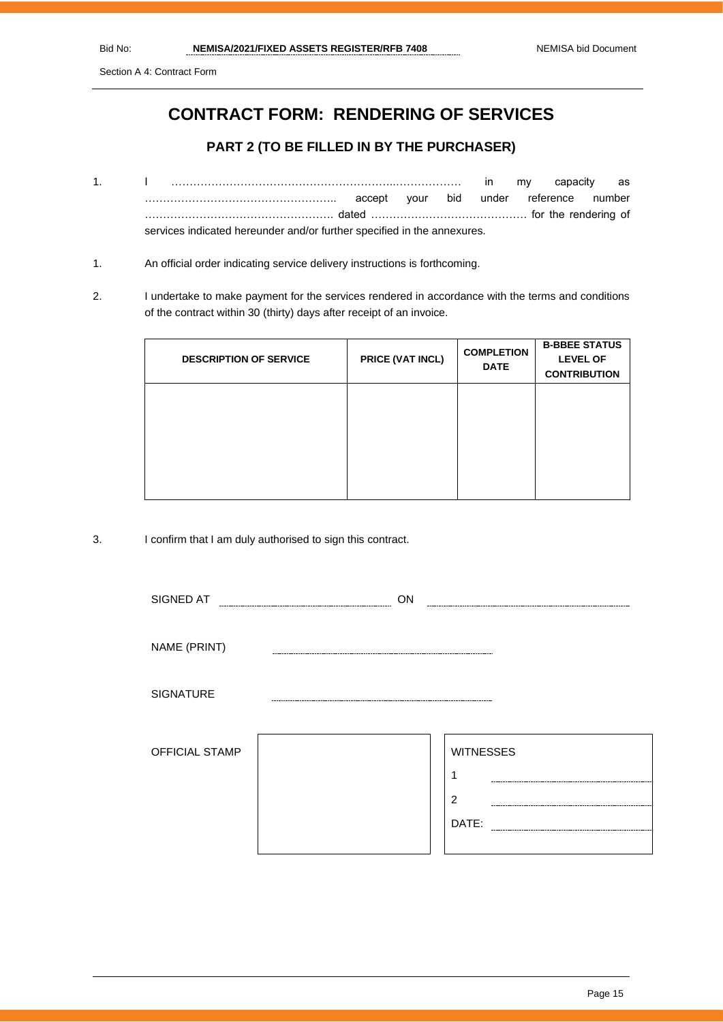Section A 4: Contract Form

# **CONTRACT FORM: RENDERING OF SERVICES**

# **PART 2 (TO BE FILLED IN BY THE PURCHASER)**

- 1. I ……………………………………………………..……………… in my capacity as …………………………………………….. accept your bid under reference number ……………………………………………. dated ……………………………………. for the rendering of services indicated hereunder and/or further specified in the annexures.
- 1. An official order indicating service delivery instructions is forthcoming.
- 2. I undertake to make payment for the services rendered in accordance with the terms and conditions of the contract within 30 (thirty) days after receipt of an invoice.

| <b>DESCRIPTION OF SERVICE</b> | PRICE (VAT INCL) | <b>COMPLETION</b><br><b>DATE</b> | <b>B-BBEE STATUS</b><br><b>LEVEL OF</b><br><b>CONTRIBUTION</b> |
|-------------------------------|------------------|----------------------------------|----------------------------------------------------------------|
|                               |                  |                                  |                                                                |
|                               |                  |                                  |                                                                |

3. I confirm that I am duly authorised to sign this contract.

| SIGNED AT        | ON                                               |
|------------------|--------------------------------------------------|
| NAME (PRINT)     |                                                  |
| <b>SIGNATURE</b> |                                                  |
| OFFICIAL STAMP   | <b>WITNESSES</b><br>٠<br>$\overline{2}$<br>DATE: |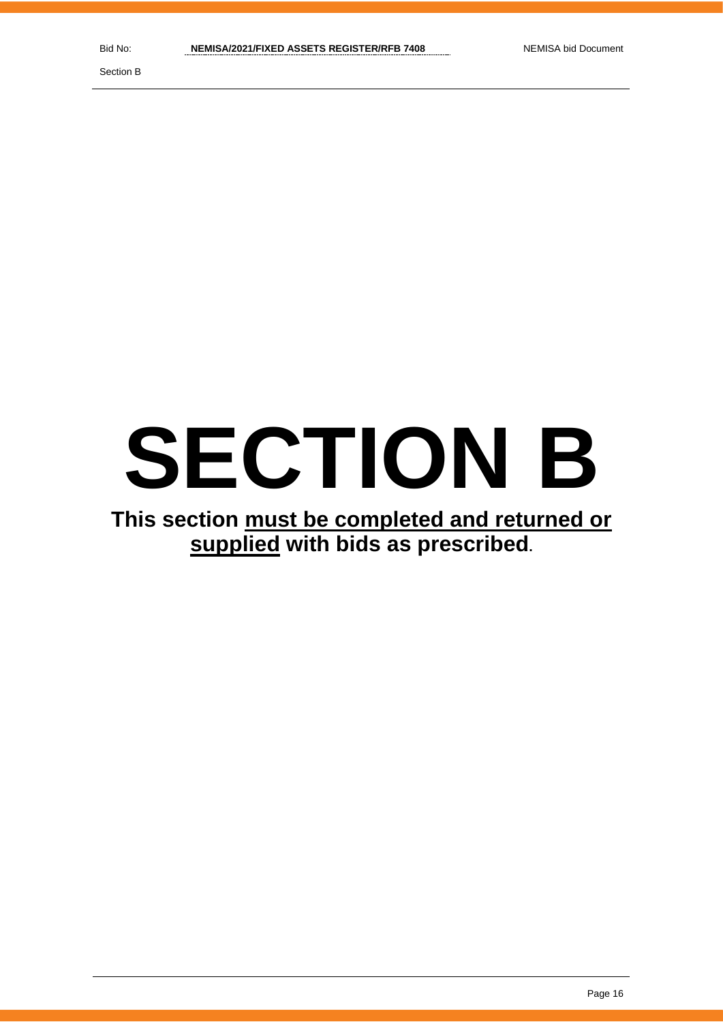Section B

# **SECTION B**

# **This section must be completed and returned or supplied with bids as prescribed.**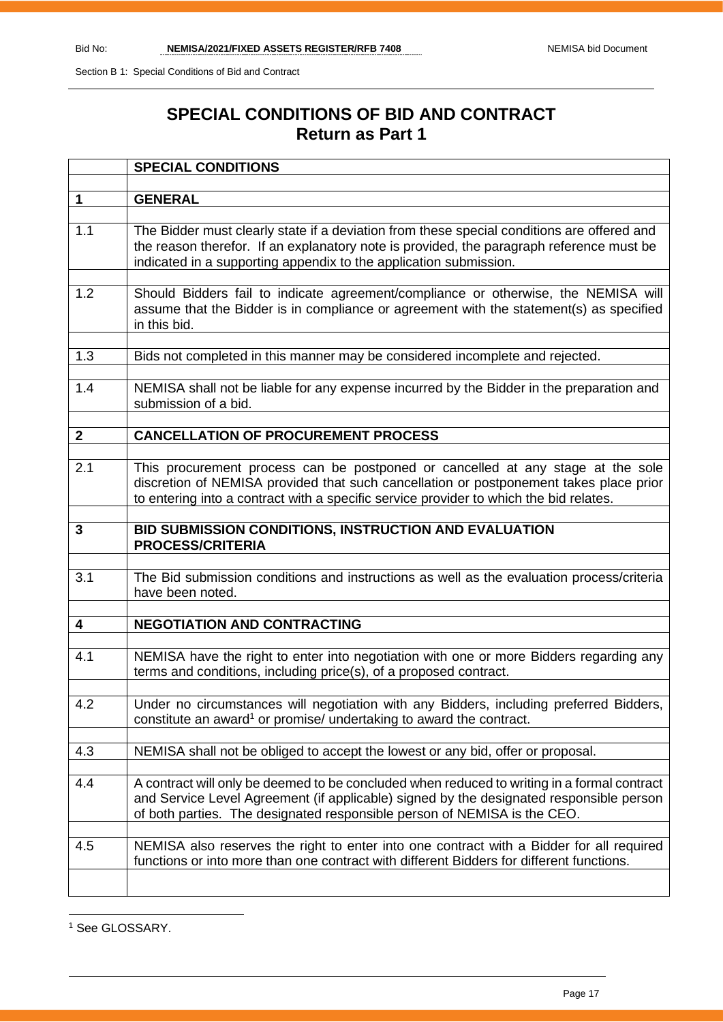# **SPECIAL CONDITIONS OF BID AND CONTRACT Return as Part 1**

|              | <b>SPECIAL CONDITIONS</b>                                                                                                                                                                                                                                           |
|--------------|---------------------------------------------------------------------------------------------------------------------------------------------------------------------------------------------------------------------------------------------------------------------|
|              |                                                                                                                                                                                                                                                                     |
| $\mathbf 1$  | <b>GENERAL</b>                                                                                                                                                                                                                                                      |
| 1.1          | The Bidder must clearly state if a deviation from these special conditions are offered and<br>the reason therefor. If an explanatory note is provided, the paragraph reference must be<br>indicated in a supporting appendix to the application submission.         |
| 1.2          | Should Bidders fail to indicate agreement/compliance or otherwise, the NEMISA will<br>assume that the Bidder is in compliance or agreement with the statement(s) as specified<br>in this bid.                                                                       |
| 1.3          | Bids not completed in this manner may be considered incomplete and rejected.                                                                                                                                                                                        |
| 1.4          | NEMISA shall not be liable for any expense incurred by the Bidder in the preparation and<br>submission of a bid.                                                                                                                                                    |
| $\mathbf{2}$ | <b>CANCELLATION OF PROCUREMENT PROCESS</b>                                                                                                                                                                                                                          |
|              |                                                                                                                                                                                                                                                                     |
| 2.1          | This procurement process can be postponed or cancelled at any stage at the sole<br>discretion of NEMISA provided that such cancellation or postponement takes place prior<br>to entering into a contract with a specific service provider to which the bid relates. |
| 3            | BID SUBMISSION CONDITIONS, INSTRUCTION AND EVALUATION<br><b>PROCESS/CRITERIA</b>                                                                                                                                                                                    |
| 3.1          | The Bid submission conditions and instructions as well as the evaluation process/criteria<br>have been noted.                                                                                                                                                       |
| 4            | <b>NEGOTIATION AND CONTRACTING</b>                                                                                                                                                                                                                                  |
|              |                                                                                                                                                                                                                                                                     |
| 4.1          | NEMISA have the right to enter into negotiation with one or more Bidders regarding any<br>terms and conditions, including price(s), of a proposed contract.                                                                                                         |
| 4.2          | Under no circumstances will negotiation with any Bidders, including preferred Bidders,<br>constitute an award <sup>1</sup> or promise/ undertaking to award the contract.                                                                                           |
| 4.3          | NEMISA shall not be obliged to accept the lowest or any bid, offer or proposal.                                                                                                                                                                                     |
|              |                                                                                                                                                                                                                                                                     |
| 4.4          | A contract will only be deemed to be concluded when reduced to writing in a formal contract<br>and Service Level Agreement (if applicable) signed by the designated responsible person<br>of both parties. The designated responsible person of NEMISA is the CEO.  |
| 4.5          | NEMISA also reserves the right to enter into one contract with a Bidder for all required<br>functions or into more than one contract with different Bidders for different functions.                                                                                |
|              |                                                                                                                                                                                                                                                                     |

<sup>1</sup> See GLOSSARY.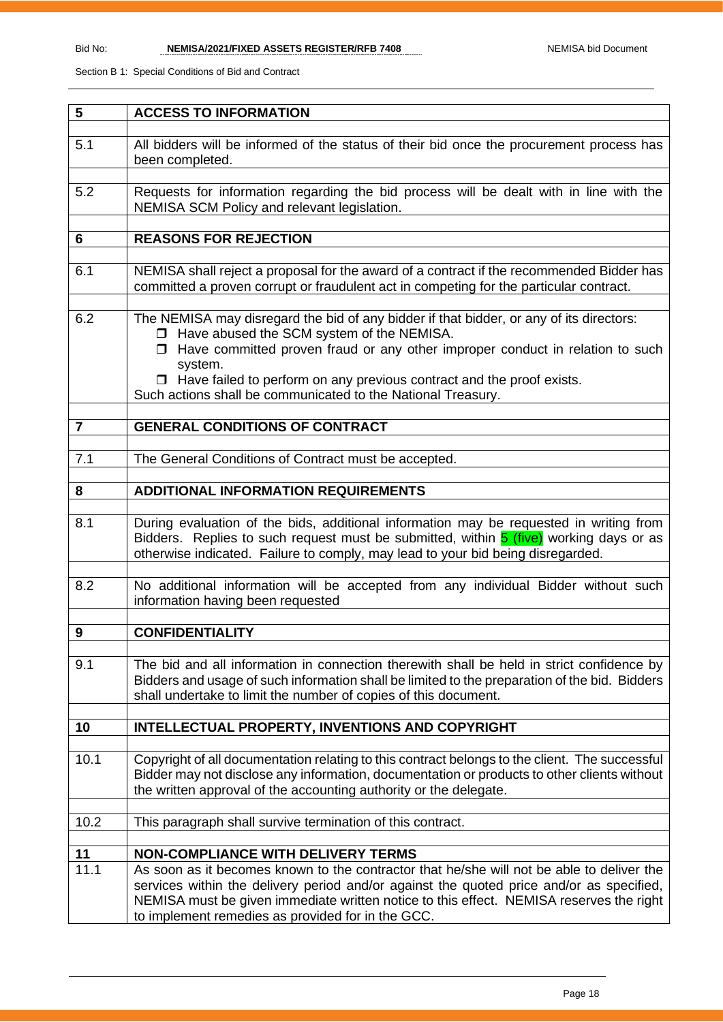| 5                | <b>ACCESS TO INFORMATION</b>                                                                                                                                                                                                                                                                                                                                                              |
|------------------|-------------------------------------------------------------------------------------------------------------------------------------------------------------------------------------------------------------------------------------------------------------------------------------------------------------------------------------------------------------------------------------------|
|                  |                                                                                                                                                                                                                                                                                                                                                                                           |
| 5.1              | All bidders will be informed of the status of their bid once the procurement process has<br>been completed.                                                                                                                                                                                                                                                                               |
| 5.2              | Requests for information regarding the bid process will be dealt with in line with the<br>NEMISA SCM Policy and relevant legislation.                                                                                                                                                                                                                                                     |
| 6                | <b>REASONS FOR REJECTION</b>                                                                                                                                                                                                                                                                                                                                                              |
|                  |                                                                                                                                                                                                                                                                                                                                                                                           |
| 6.1              | NEMISA shall reject a proposal for the award of a contract if the recommended Bidder has<br>committed a proven corrupt or fraudulent act in competing for the particular contract.                                                                                                                                                                                                        |
| 6.2              | The NEMISA may disregard the bid of any bidder if that bidder, or any of its directors:<br>□ Have abused the SCM system of the NEMISA.<br>$\Box$ Have committed proven fraud or any other improper conduct in relation to such<br>system.<br>$\Box$ Have failed to perform on any previous contract and the proof exists.<br>Such actions shall be communicated to the National Treasury. |
| $\overline{7}$   | <b>GENERAL CONDITIONS OF CONTRACT</b>                                                                                                                                                                                                                                                                                                                                                     |
|                  |                                                                                                                                                                                                                                                                                                                                                                                           |
| 7.1              | The General Conditions of Contract must be accepted.                                                                                                                                                                                                                                                                                                                                      |
|                  |                                                                                                                                                                                                                                                                                                                                                                                           |
| 8                | <b>ADDITIONAL INFORMATION REQUIREMENTS</b>                                                                                                                                                                                                                                                                                                                                                |
| 8.1              | During evaluation of the bids, additional information may be requested in writing from<br>Bidders. Replies to such request must be submitted, within <b>5 (five)</b> working days or as<br>otherwise indicated. Failure to comply, may lead to your bid being disregarded.                                                                                                                |
| 8.2              | No additional information will be accepted from any individual Bidder without such<br>information having been requested                                                                                                                                                                                                                                                                   |
|                  |                                                                                                                                                                                                                                                                                                                                                                                           |
| $\boldsymbol{9}$ | <b>CONFIDENTIALITY</b>                                                                                                                                                                                                                                                                                                                                                                    |
| 9.1              | The bid and all information in connection therewith shall be held in strict confidence by<br>Bidders and usage of such information shall be limited to the preparation of the bid. Bidders<br>shall undertake to limit the number of copies of this document.                                                                                                                             |
| 10               | <b>INTELLECTUAL PROPERTY, INVENTIONS AND COPYRIGHT</b>                                                                                                                                                                                                                                                                                                                                    |
|                  |                                                                                                                                                                                                                                                                                                                                                                                           |
| 10.1             | Copyright of all documentation relating to this contract belongs to the client. The successful<br>Bidder may not disclose any information, documentation or products to other clients without<br>the written approval of the accounting authority or the delegate.                                                                                                                        |
| 10.2             | This paragraph shall survive termination of this contract.                                                                                                                                                                                                                                                                                                                                |
|                  |                                                                                                                                                                                                                                                                                                                                                                                           |
| 11               | <b>NON-COMPLIANCE WITH DELIVERY TERMS</b>                                                                                                                                                                                                                                                                                                                                                 |
| 11.1             | As soon as it becomes known to the contractor that he/she will not be able to deliver the<br>services within the delivery period and/or against the quoted price and/or as specified,<br>NEMISA must be given immediate written notice to this effect. NEMISA reserves the right<br>to implement remedies as provided for in the GCC.                                                     |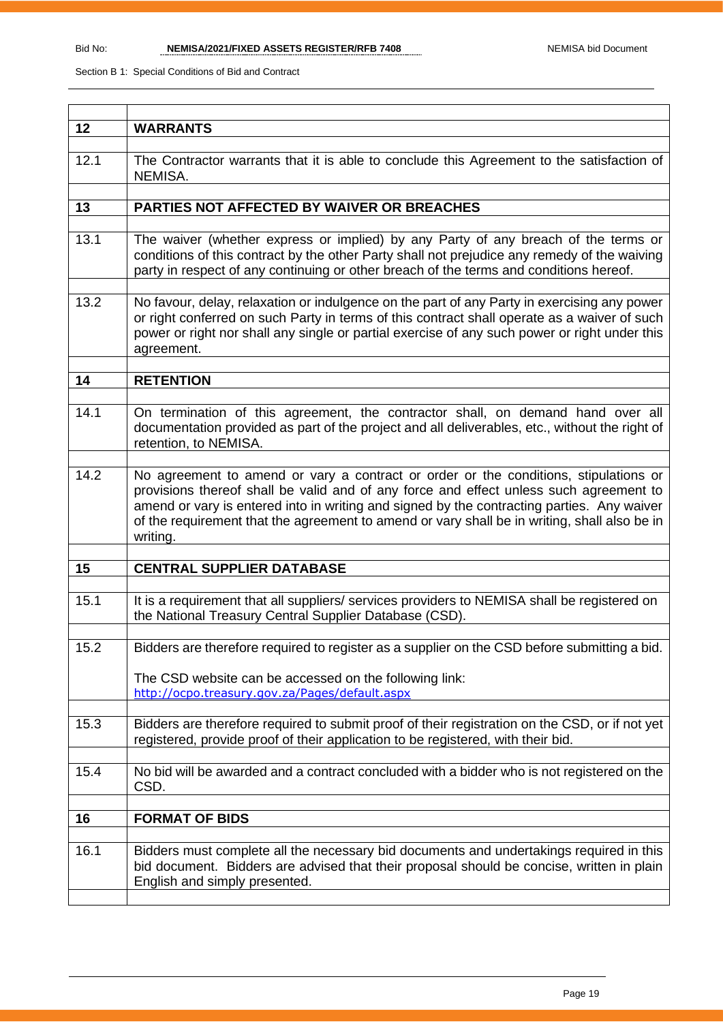| 12   | <b>WARRANTS</b>                                                                                                                                                                                                                                                                                                                                                                          |
|------|------------------------------------------------------------------------------------------------------------------------------------------------------------------------------------------------------------------------------------------------------------------------------------------------------------------------------------------------------------------------------------------|
| 12.1 | The Contractor warrants that it is able to conclude this Agreement to the satisfaction of<br>NEMISA.                                                                                                                                                                                                                                                                                     |
|      |                                                                                                                                                                                                                                                                                                                                                                                          |
| 13   | PARTIES NOT AFFECTED BY WAIVER OR BREACHES                                                                                                                                                                                                                                                                                                                                               |
|      |                                                                                                                                                                                                                                                                                                                                                                                          |
| 13.1 | The waiver (whether express or implied) by any Party of any breach of the terms or<br>conditions of this contract by the other Party shall not prejudice any remedy of the waiving<br>party in respect of any continuing or other breach of the terms and conditions hereof.                                                                                                             |
| 13.2 | No favour, delay, relaxation or indulgence on the part of any Party in exercising any power                                                                                                                                                                                                                                                                                              |
|      | or right conferred on such Party in terms of this contract shall operate as a waiver of such<br>power or right nor shall any single or partial exercise of any such power or right under this<br>agreement.                                                                                                                                                                              |
|      |                                                                                                                                                                                                                                                                                                                                                                                          |
| 14   | <b>RETENTION</b>                                                                                                                                                                                                                                                                                                                                                                         |
|      |                                                                                                                                                                                                                                                                                                                                                                                          |
| 14.1 | On termination of this agreement, the contractor shall, on demand hand over all<br>documentation provided as part of the project and all deliverables, etc., without the right of<br>retention, to NEMISA.                                                                                                                                                                               |
|      |                                                                                                                                                                                                                                                                                                                                                                                          |
| 14.2 | No agreement to amend or vary a contract or order or the conditions, stipulations or<br>provisions thereof shall be valid and of any force and effect unless such agreement to<br>amend or vary is entered into in writing and signed by the contracting parties. Any waiver<br>of the requirement that the agreement to amend or vary shall be in writing, shall also be in<br>writing. |
| 15   | <b>CENTRAL SUPPLIER DATABASE</b>                                                                                                                                                                                                                                                                                                                                                         |
|      |                                                                                                                                                                                                                                                                                                                                                                                          |
| 15.1 | It is a requirement that all suppliers/ services providers to NEMISA shall be registered on<br>the National Treasury Central Supplier Database (CSD).                                                                                                                                                                                                                                    |
|      |                                                                                                                                                                                                                                                                                                                                                                                          |
| 15.2 | Bidders are therefore required to register as a supplier on the CSD before submitting a bid.                                                                                                                                                                                                                                                                                             |
|      | The CSD website can be accessed on the following link:<br>http://ocpo.treasury.gov.za/Pages/default.aspx                                                                                                                                                                                                                                                                                 |
|      |                                                                                                                                                                                                                                                                                                                                                                                          |
| 15.3 | Bidders are therefore required to submit proof of their registration on the CSD, or if not yet<br>registered, provide proof of their application to be registered, with their bid.                                                                                                                                                                                                       |
| 15.4 | No bid will be awarded and a contract concluded with a bidder who is not registered on the<br>CSD.                                                                                                                                                                                                                                                                                       |
|      |                                                                                                                                                                                                                                                                                                                                                                                          |
| 16   | <b>FORMAT OF BIDS</b>                                                                                                                                                                                                                                                                                                                                                                    |
|      |                                                                                                                                                                                                                                                                                                                                                                                          |
| 16.1 | Bidders must complete all the necessary bid documents and undertakings required in this<br>bid document. Bidders are advised that their proposal should be concise, written in plain<br>English and simply presented.                                                                                                                                                                    |
|      |                                                                                                                                                                                                                                                                                                                                                                                          |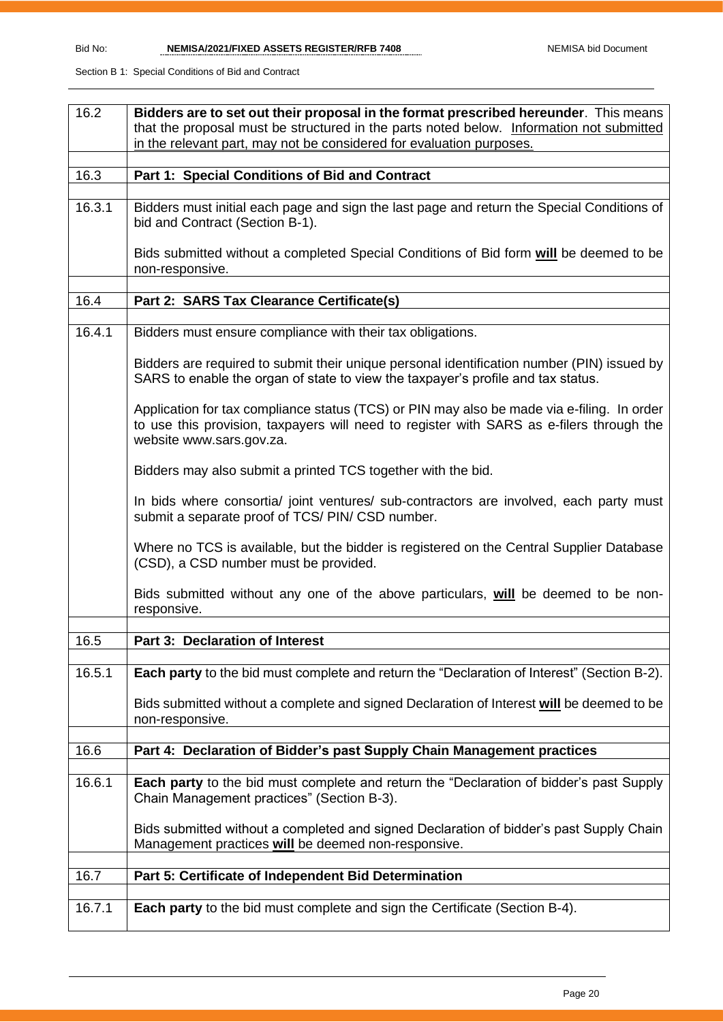| 16.2   | Bidders are to set out their proposal in the format prescribed hereunder. This means                                                                                                                               |
|--------|--------------------------------------------------------------------------------------------------------------------------------------------------------------------------------------------------------------------|
|        | that the proposal must be structured in the parts noted below. Information not submitted                                                                                                                           |
|        | in the relevant part, may not be considered for evaluation purposes.                                                                                                                                               |
| 16.3   | Part 1: Special Conditions of Bid and Contract                                                                                                                                                                     |
|        |                                                                                                                                                                                                                    |
| 16.3.1 | Bidders must initial each page and sign the last page and return the Special Conditions of<br>bid and Contract (Section B-1).                                                                                      |
|        | Bids submitted without a completed Special Conditions of Bid form will be deemed to be<br>non-responsive.                                                                                                          |
|        |                                                                                                                                                                                                                    |
| 16.4   | Part 2: SARS Tax Clearance Certificate(s)                                                                                                                                                                          |
| 16.4.1 | Bidders must ensure compliance with their tax obligations.                                                                                                                                                         |
|        | Bidders are required to submit their unique personal identification number (PIN) issued by<br>SARS to enable the organ of state to view the taxpayer's profile and tax status.                                     |
|        | Application for tax compliance status (TCS) or PIN may also be made via e-filing. In order<br>to use this provision, taxpayers will need to register with SARS as e-filers through the<br>website www.sars.gov.za. |
|        | Bidders may also submit a printed TCS together with the bid.                                                                                                                                                       |
|        | In bids where consortia/ joint ventures/ sub-contractors are involved, each party must<br>submit a separate proof of TCS/ PIN/ CSD number.                                                                         |
|        | Where no TCS is available, but the bidder is registered on the Central Supplier Database<br>(CSD), a CSD number must be provided.                                                                                  |
|        | Bids submitted without any one of the above particulars, will be deemed to be non-<br>responsive.                                                                                                                  |
| 16.5   | <b>Part 3: Declaration of Interest</b>                                                                                                                                                                             |
|        |                                                                                                                                                                                                                    |
| 16.5.1 | Each party to the bid must complete and return the "Declaration of Interest" (Section B-2).                                                                                                                        |
|        | Bids submitted without a complete and signed Declaration of Interest will be deemed to be<br>non-responsive.                                                                                                       |
| 16.6   | Part 4: Declaration of Bidder's past Supply Chain Management practices                                                                                                                                             |
|        |                                                                                                                                                                                                                    |
| 16.6.1 | <b>Each party</b> to the bid must complete and return the "Declaration of bidder's past Supply<br>Chain Management practices" (Section B-3).                                                                       |
|        | Bids submitted without a completed and signed Declaration of bidder's past Supply Chain<br>Management practices will be deemed non-responsive.                                                                     |
| 16.7   | Part 5: Certificate of Independent Bid Determination                                                                                                                                                               |
|        |                                                                                                                                                                                                                    |
| 16.7.1 | <b>Each party</b> to the bid must complete and sign the Certificate (Section B-4).                                                                                                                                 |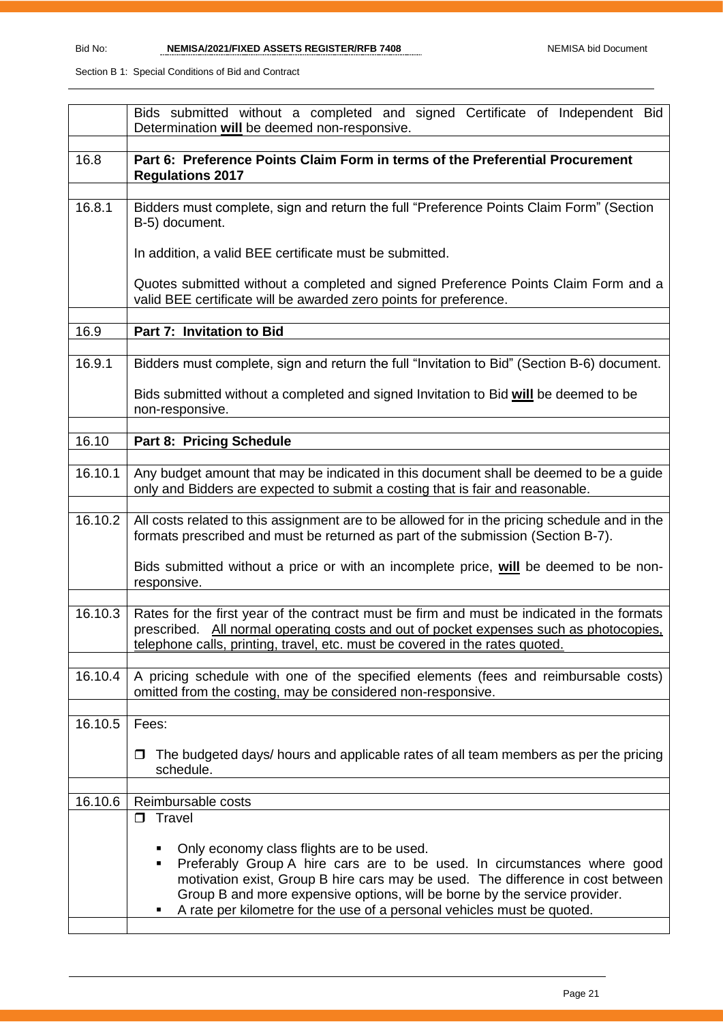| Part 6: Preference Points Claim Form in terms of the Preferential Procurement<br><b>Regulations 2017</b>                                                                                                                                                                                                                                                                     |  |  |  |  |  |  |
|------------------------------------------------------------------------------------------------------------------------------------------------------------------------------------------------------------------------------------------------------------------------------------------------------------------------------------------------------------------------------|--|--|--|--|--|--|
| Bidders must complete, sign and return the full "Preference Points Claim Form" (Section<br>B-5) document.                                                                                                                                                                                                                                                                    |  |  |  |  |  |  |
| In addition, a valid BEE certificate must be submitted.                                                                                                                                                                                                                                                                                                                      |  |  |  |  |  |  |
| Quotes submitted without a completed and signed Preference Points Claim Form and a<br>valid BEE certificate will be awarded zero points for preference.                                                                                                                                                                                                                      |  |  |  |  |  |  |
| Part 7: Invitation to Bid                                                                                                                                                                                                                                                                                                                                                    |  |  |  |  |  |  |
| Bidders must complete, sign and return the full "Invitation to Bid" (Section B-6) document.                                                                                                                                                                                                                                                                                  |  |  |  |  |  |  |
| Bids submitted without a completed and signed Invitation to Bid will be deemed to be<br>non-responsive.                                                                                                                                                                                                                                                                      |  |  |  |  |  |  |
| Part 8: Pricing Schedule                                                                                                                                                                                                                                                                                                                                                     |  |  |  |  |  |  |
| Any budget amount that may be indicated in this document shall be deemed to be a guide<br>only and Bidders are expected to submit a costing that is fair and reasonable.                                                                                                                                                                                                     |  |  |  |  |  |  |
| All costs related to this assignment are to be allowed for in the pricing schedule and in the<br>formats prescribed and must be returned as part of the submission (Section B-7).                                                                                                                                                                                            |  |  |  |  |  |  |
| Bids submitted without a price or with an incomplete price, will be deemed to be non-<br>responsive.                                                                                                                                                                                                                                                                         |  |  |  |  |  |  |
| Rates for the first year of the contract must be firm and must be indicated in the formats<br>prescribed. All normal operating costs and out of pocket expenses such as photocopies,<br>telephone calls, printing, travel, etc. must be covered in the rates quoted.                                                                                                         |  |  |  |  |  |  |
| A pricing schedule with one of the specified elements (fees and reimbursable costs)<br>omitted from the costing, may be considered non-responsive.                                                                                                                                                                                                                           |  |  |  |  |  |  |
| Fees:                                                                                                                                                                                                                                                                                                                                                                        |  |  |  |  |  |  |
| The budgeted days/ hours and applicable rates of all team members as per the pricing<br>$\Box$<br>schedule.                                                                                                                                                                                                                                                                  |  |  |  |  |  |  |
| Reimbursable costs                                                                                                                                                                                                                                                                                                                                                           |  |  |  |  |  |  |
| $\Box$ Travel                                                                                                                                                                                                                                                                                                                                                                |  |  |  |  |  |  |
| Only economy class flights are to be used.<br>٠<br>Preferably Group A hire cars are to be used. In circumstances where good<br>٠<br>motivation exist, Group B hire cars may be used. The difference in cost between<br>Group B and more expensive options, will be borne by the service provider.<br>A rate per kilometre for the use of a personal vehicles must be quoted. |  |  |  |  |  |  |
|                                                                                                                                                                                                                                                                                                                                                                              |  |  |  |  |  |  |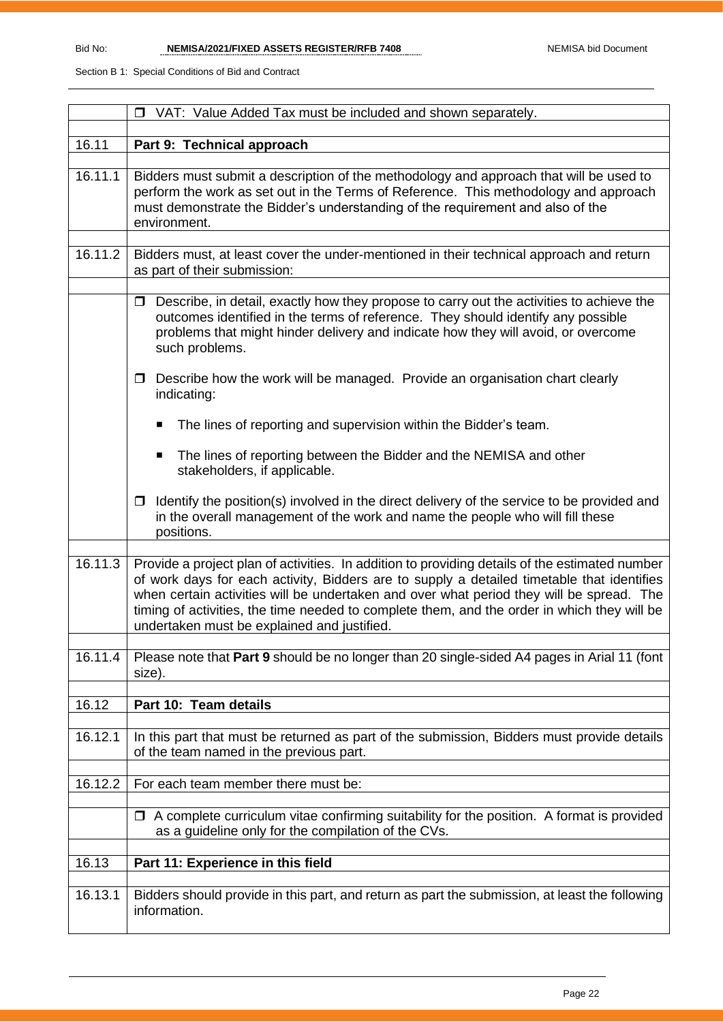|         | □ VAT: Value Added Tax must be included and shown separately.                                                                                                                                                                                                                                                                                                                                                                          |  |  |  |  |  |
|---------|----------------------------------------------------------------------------------------------------------------------------------------------------------------------------------------------------------------------------------------------------------------------------------------------------------------------------------------------------------------------------------------------------------------------------------------|--|--|--|--|--|
|         | Part 9: Technical approach                                                                                                                                                                                                                                                                                                                                                                                                             |  |  |  |  |  |
| 16.11   |                                                                                                                                                                                                                                                                                                                                                                                                                                        |  |  |  |  |  |
| 16.11.1 | Bidders must submit a description of the methodology and approach that will be used to<br>perform the work as set out in the Terms of Reference. This methodology and approach<br>must demonstrate the Bidder's understanding of the requirement and also of the<br>environment.                                                                                                                                                       |  |  |  |  |  |
| 16.11.2 | Bidders must, at least cover the under-mentioned in their technical approach and return<br>as part of their submission:                                                                                                                                                                                                                                                                                                                |  |  |  |  |  |
|         | Describe, in detail, exactly how they propose to carry out the activities to achieve the<br>$\Box$<br>outcomes identified in the terms of reference. They should identify any possible<br>problems that might hinder delivery and indicate how they will avoid, or overcome<br>such problems.                                                                                                                                          |  |  |  |  |  |
|         | Describe how the work will be managed. Provide an organisation chart clearly<br>$\Box$<br>indicating:                                                                                                                                                                                                                                                                                                                                  |  |  |  |  |  |
|         | The lines of reporting and supervision within the Bidder's team.<br>п                                                                                                                                                                                                                                                                                                                                                                  |  |  |  |  |  |
|         | The lines of reporting between the Bidder and the NEMISA and other<br>$\blacksquare$<br>stakeholders, if applicable.                                                                                                                                                                                                                                                                                                                   |  |  |  |  |  |
|         | Identify the position(s) involved in the direct delivery of the service to be provided and<br>$\Box$<br>in the overall management of the work and name the people who will fill these<br>positions.                                                                                                                                                                                                                                    |  |  |  |  |  |
| 16.11.3 | Provide a project plan of activities. In addition to providing details of the estimated number<br>of work days for each activity, Bidders are to supply a detailed timetable that identifies<br>when certain activities will be undertaken and over what period they will be spread. The<br>timing of activities, the time needed to complete them, and the order in which they will be<br>undertaken must be explained and justified. |  |  |  |  |  |
| 16.11.4 | Please note that Part 9 should be no longer than 20 single-sided A4 pages in Arial 11 (font<br>size).                                                                                                                                                                                                                                                                                                                                  |  |  |  |  |  |
| 16.12   | Part 10: Team details                                                                                                                                                                                                                                                                                                                                                                                                                  |  |  |  |  |  |
|         |                                                                                                                                                                                                                                                                                                                                                                                                                                        |  |  |  |  |  |
| 16.12.1 | In this part that must be returned as part of the submission, Bidders must provide details<br>of the team named in the previous part.                                                                                                                                                                                                                                                                                                  |  |  |  |  |  |
| 16.12.2 | For each team member there must be:                                                                                                                                                                                                                                                                                                                                                                                                    |  |  |  |  |  |
|         | $\Box$ A complete curriculum vitae confirming suitability for the position. A format is provided<br>as a guideline only for the compilation of the CVs.                                                                                                                                                                                                                                                                                |  |  |  |  |  |
| 16.13   | Part 11: Experience in this field                                                                                                                                                                                                                                                                                                                                                                                                      |  |  |  |  |  |
| 16.13.1 | Bidders should provide in this part, and return as part the submission, at least the following                                                                                                                                                                                                                                                                                                                                         |  |  |  |  |  |
|         | information.                                                                                                                                                                                                                                                                                                                                                                                                                           |  |  |  |  |  |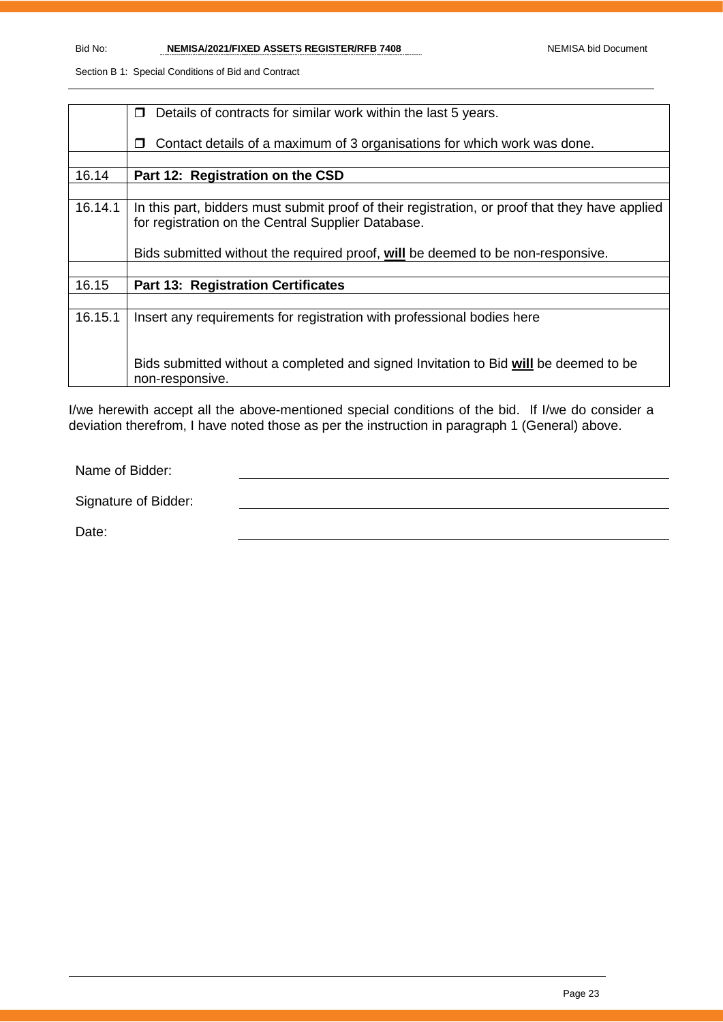|         | Details of contracts for similar work within the last 5 years.<br>$\Box$                       |
|---------|------------------------------------------------------------------------------------------------|
|         |                                                                                                |
|         | Contact details of a maximum of 3 organisations for which work was done.<br>П                  |
|         |                                                                                                |
|         |                                                                                                |
| 16.14   | Part 12: Registration on the CSD                                                               |
|         |                                                                                                |
| 16.14.1 | In this part, bidders must submit proof of their registration, or proof that they have applied |
|         | for registration on the Central Supplier Database.                                             |
|         |                                                                                                |
|         |                                                                                                |
|         | Bids submitted without the required proof, will be deemed to be non-responsive.                |
|         |                                                                                                |
| 16.15   | <b>Part 13: Registration Certificates</b>                                                      |
|         |                                                                                                |
| 16.15.1 | Insert any requirements for registration with professional bodies here                         |
|         |                                                                                                |
|         |                                                                                                |
|         |                                                                                                |
|         | Bids submitted without a completed and signed Invitation to Bid will be deemed to be           |
|         | non-responsive.                                                                                |
|         |                                                                                                |

I/we herewith accept all the above-mentioned special conditions of the bid. If I/we do consider a deviation therefrom, I have noted those as per the instruction in paragraph 1 (General) above.

Name of Bidder:

Signature of Bidder:

Date: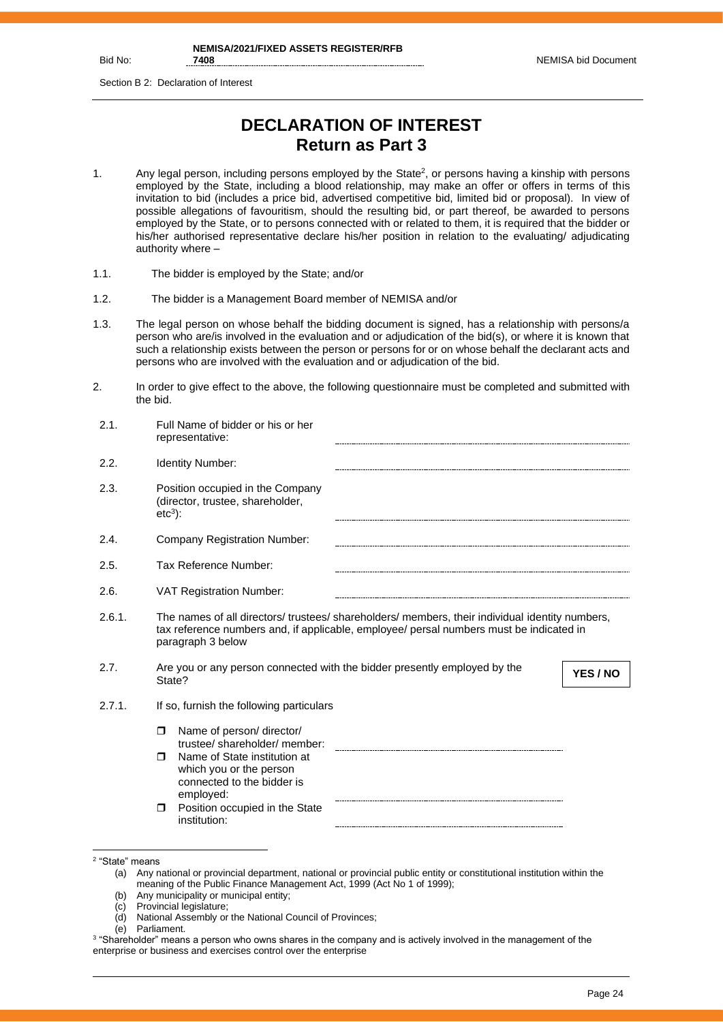Bid No:

Section B 2: Declaration of Interest

# **DECLARATION OF INTEREST Return as Part 3**

- 1. Any legal person, including persons employed by the State<sup>2</sup>, or persons having a kinship with persons employed by the State, including a blood relationship, may make an offer or offers in terms of this invitation to bid (includes a price bid, advertised competitive bid, limited bid or proposal). In view of possible allegations of favouritism, should the resulting bid, or part thereof, be awarded to persons employed by the State, or to persons connected with or related to them, it is required that the bidder or his/her authorised representative declare his/her position in relation to the evaluating/ adjudicating authority where –
- 1.1. The bidder is employed by the State; and/or
- 1.2. The bidder is a Management Board member of NEMISA and/or
- 1.3. The legal person on whose behalf the bidding document is signed, has a relationship with persons/a person who are/is involved in the evaluation and or adjudication of the bid(s), or where it is known that such a relationship exists between the person or persons for or on whose behalf the declarant acts and persons who are involved with the evaluation and or adjudication of the bid.
- 2. In order to give effect to the above, the following questionnaire must be completed and submitted with the bid.

| Identity Number:<br>Position occupied in the Company<br>(director, trustee, shareholder,<br>$etc3$ :<br>Company Registration Number:<br>Tax Reference Number:<br><b>VAT Registration Number:</b><br>The names of all directors/ trustees/ shareholders/ members, their individual identity numbers,<br>tax reference numbers and, if applicable, employee/ persal numbers must be indicated in<br>paragraph 3 below<br>Are you or any person connected with the bidder presently employed by the<br>YES / NO<br>State?<br>If so, furnish the following particulars<br>Name of person/ director/<br>σ<br>trustee/shareholder/member:<br>Name of State institution at<br>⊓<br>which you or the person | 2.1.   | Full Name of bidder or his or her<br>representative: |
|-----------------------------------------------------------------------------------------------------------------------------------------------------------------------------------------------------------------------------------------------------------------------------------------------------------------------------------------------------------------------------------------------------------------------------------------------------------------------------------------------------------------------------------------------------------------------------------------------------------------------------------------------------------------------------------------------------|--------|------------------------------------------------------|
|                                                                                                                                                                                                                                                                                                                                                                                                                                                                                                                                                                                                                                                                                                     | 2.2.   |                                                      |
|                                                                                                                                                                                                                                                                                                                                                                                                                                                                                                                                                                                                                                                                                                     | 2.3.   |                                                      |
|                                                                                                                                                                                                                                                                                                                                                                                                                                                                                                                                                                                                                                                                                                     | 2.4.   |                                                      |
|                                                                                                                                                                                                                                                                                                                                                                                                                                                                                                                                                                                                                                                                                                     | 2.5.   |                                                      |
|                                                                                                                                                                                                                                                                                                                                                                                                                                                                                                                                                                                                                                                                                                     | 2.6.   |                                                      |
|                                                                                                                                                                                                                                                                                                                                                                                                                                                                                                                                                                                                                                                                                                     | 2.6.1. |                                                      |
|                                                                                                                                                                                                                                                                                                                                                                                                                                                                                                                                                                                                                                                                                                     | 2.7.   |                                                      |
|                                                                                                                                                                                                                                                                                                                                                                                                                                                                                                                                                                                                                                                                                                     | 2.7.1. |                                                      |
|                                                                                                                                                                                                                                                                                                                                                                                                                                                                                                                                                                                                                                                                                                     |        |                                                      |
|                                                                                                                                                                                                                                                                                                                                                                                                                                                                                                                                                                                                                                                                                                     |        | connected to the bidder is                           |
| Position occupied in the State<br>$\Box$<br>institution:                                                                                                                                                                                                                                                                                                                                                                                                                                                                                                                                                                                                                                            |        |                                                      |
| employed:                                                                                                                                                                                                                                                                                                                                                                                                                                                                                                                                                                                                                                                                                           |        |                                                      |

- (c) Provincial legislature;
- (d) National Assembly or the National Council of Provinces;

<sup>2</sup> "State" means

<sup>(</sup>a) Any national or provincial department, national or provincial public entity or constitutional institution within the meaning of the Public Finance Management Act, 1999 (Act No 1 of 1999);

<sup>(</sup>b) Any municipality or municipal entity;

<sup>(</sup>e) Parliament.

 $^3$  "Shareholder" means a person who owns shares in the company and is actively involved in the management of the enterprise or business and exercises control over the enterprise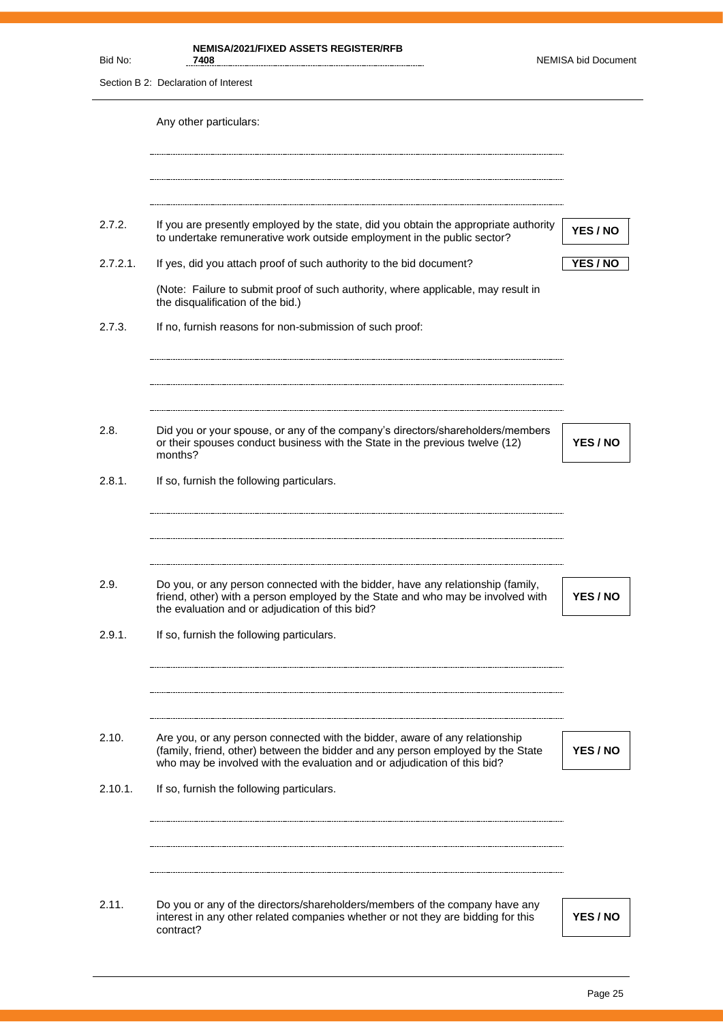| Bid No:  | <b>NEMISA/2021/FIXED ASSETS REGISTER/RFB</b><br>7408                                                                                                                                                                  | <b>NEMISA bid Document</b> |
|----------|-----------------------------------------------------------------------------------------------------------------------------------------------------------------------------------------------------------------------|----------------------------|
|          | Section B 2: Declaration of Interest                                                                                                                                                                                  |                            |
|          | Any other particulars:                                                                                                                                                                                                |                            |
| 2.7.2.   | If you are presently employed by the state, did you obtain the appropriate authority<br>to undertake remunerative work outside employment in the public sector?                                                       | YES / NO                   |
| 2.7.2.1. | If yes, did you attach proof of such authority to the bid document?                                                                                                                                                   | YES / NO                   |
|          | (Note: Failure to submit proof of such authority, where applicable, may result in<br>the disqualification of the bid.)                                                                                                |                            |
| 2.7.3.   | If no, furnish reasons for non-submission of such proof:                                                                                                                                                              |                            |
| 2.8.     | Did you or your spouse, or any of the company's directors/shareholders/members                                                                                                                                        |                            |
|          | or their spouses conduct business with the State in the previous twelve (12)<br>months?                                                                                                                               | YES / NO                   |
| 2.8.1.   | If so, furnish the following particulars.                                                                                                                                                                             |                            |
|          |                                                                                                                                                                                                                       |                            |
| 2.9.     | Do you, or any person connected with the bidder, have any relationship (family,<br>friend, other) with a person employed by the State and who may be involved with<br>the evaluation and or adjudication of this bid? | YES / NO                   |
| 2.9.1.   | If so, furnish the following particulars.                                                                                                                                                                             |                            |
| 2.10.    | Are you, or any person connected with the bidder, aware of any relationship                                                                                                                                           |                            |
|          | (family, friend, other) between the bidder and any person employed by the State<br>who may be involved with the evaluation and or adjudication of this bid?                                                           | YES / NO                   |
| 2.10.1.  | If so, furnish the following particulars.                                                                                                                                                                             |                            |
|          |                                                                                                                                                                                                                       |                            |
| 2.11.    | Do you or any of the directors/shareholders/members of the company have any<br>interest in any other related companies whether or not they are bidding for this<br>contract?                                          | YES / NO                   |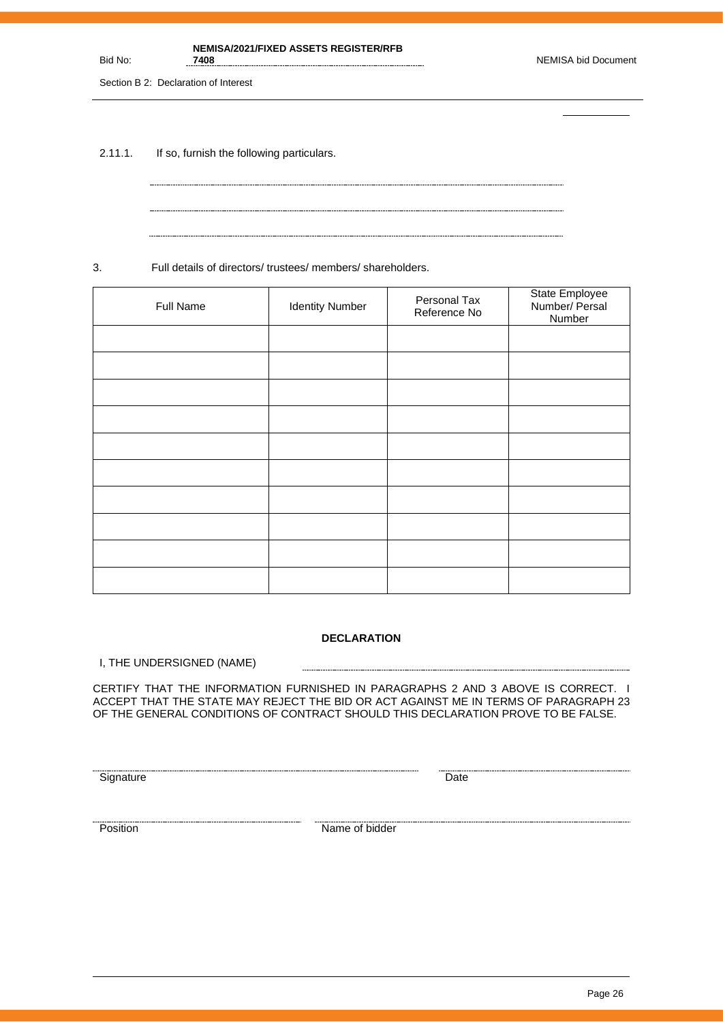#### **NEMISA/2021/FIXED ASSETS REGISTER/RFB**

Section B 2: Declaration of Interest

Bid No:

2.11.1. If so, furnish the following particulars.

3. Full details of directors/ trustees/ members/ shareholders.

| Full Name | <b>Identity Number</b> | Personal Tax<br>Reference No | State Employee<br>Number/ Persal<br>Number |
|-----------|------------------------|------------------------------|--------------------------------------------|
|           |                        |                              |                                            |
|           |                        |                              |                                            |
|           |                        |                              |                                            |
|           |                        |                              |                                            |
|           |                        |                              |                                            |
|           |                        |                              |                                            |
|           |                        |                              |                                            |
|           |                        |                              |                                            |
|           |                        |                              |                                            |
|           |                        |                              |                                            |

#### **DECLARATION**

------------------------

I, THE UNDERSIGNED (NAME)

CERTIFY THAT THE INFORMATION FURNISHED IN PARAGRAPHS 2 AND 3 ABOVE IS CORRECT. I ACCEPT THAT THE STATE MAY REJECT THE BID OR ACT AGAINST ME IN TERMS OF PARAGRAPH 23 OF THE GENERAL CONDITIONS OF CONTRACT SHOULD THIS DECLARATION PROVE TO BE FALSE.

<u>Signature</u> Date **Construction Construction** Date **Construction** Date **Construction** Date

Exames a material contract of bidder and the position of bidder  $\blacksquare$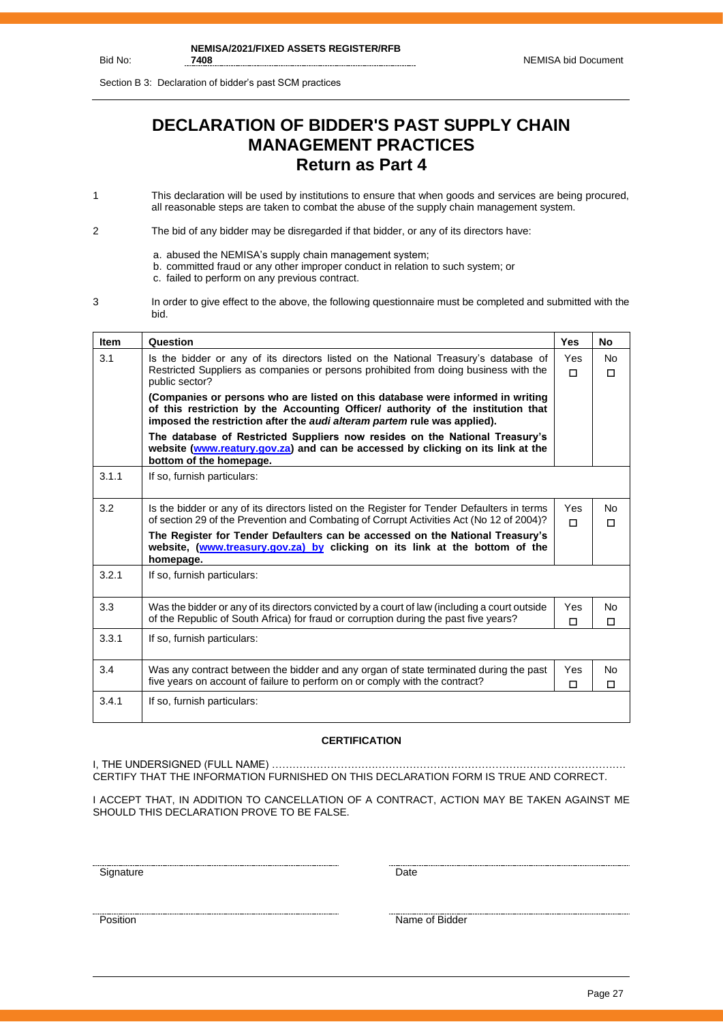Section B 3: Declaration of bidder's past SCM practices

# **DECLARATION OF BIDDER'S PAST SUPPLY CHAIN MANAGEMENT PRACTICES Return as Part 4**

1 This declaration will be used by institutions to ensure that when goods and services are being procured, all reasonable steps are taken to combat the abuse of the supply chain management system.

2 The bid of any bidder may be disregarded if that bidder, or any of its directors have:

- a. abused the NEMISA's supply chain management system;
- b. committed fraud or any other improper conduct in relation to such system; or
- c. failed to perform on any previous contract.
- 3 In order to give effect to the above, the following questionnaire must be completed and submitted with the bid.

| <b>Item</b> | Question                                                                                                                                                                                                                                       | <b>Yes</b>      | No.                      |
|-------------|------------------------------------------------------------------------------------------------------------------------------------------------------------------------------------------------------------------------------------------------|-----------------|--------------------------|
| 3.1         | Is the bidder or any of its directors listed on the National Treasury's database of<br>Restricted Suppliers as companies or persons prohibited from doing business with the<br>public sector?                                                  | <b>Yes</b><br>п | N <sub>0</sub><br>$\Box$ |
|             | (Companies or persons who are listed on this database were informed in writing<br>of this restriction by the Accounting Officer/ authority of the institution that<br>imposed the restriction after the audi alteram partem rule was applied). |                 |                          |
|             | The database of Restricted Suppliers now resides on the National Treasury's<br>website (www.reatury.gov.za) and can be accessed by clicking on its link at the<br>bottom of the homepage.                                                      |                 |                          |
| 3.1.1       | If so, furnish particulars:                                                                                                                                                                                                                    |                 |                          |
| 3.2         | Is the bidder or any of its directors listed on the Register for Tender Defaulters in terms<br>of section 29 of the Prevention and Combating of Corrupt Activities Act (No 12 of 2004)?                                                        | Yes<br>п        | No.<br>п                 |
|             | The Register for Tender Defaulters can be accessed on the National Treasury's<br>website, (www.treasury.gov.za) by clicking on its link at the bottom of the<br>homepage.                                                                      |                 |                          |
| 3.2.1       | If so, furnish particulars:                                                                                                                                                                                                                    |                 |                          |
| 3.3         | Was the bidder or any of its directors convicted by a court of law (including a court outside<br>of the Republic of South Africa) for fraud or corruption during the past five years?                                                          | Yes<br>П        | <b>No</b><br>П           |
| 3.3.1       | If so, furnish particulars:                                                                                                                                                                                                                    |                 |                          |
| 3.4         | Was any contract between the bidder and any organ of state terminated during the past<br>five years on account of failure to perform on or comply with the contract?                                                                           | Yes<br>□        | <b>No</b><br>П           |
| 3.4.1       | If so, furnish particulars:                                                                                                                                                                                                                    |                 |                          |

#### **CERTIFICATION**

I, THE UNDERSIGNED (FULL NAME) …………………………………………………………………………………………. CERTIFY THAT THE INFORMATION FURNISHED ON THIS DECLARATION FORM IS TRUE AND CORRECT.

I ACCEPT THAT, IN ADDITION TO CANCELLATION OF A CONTRACT, ACTION MAY BE TAKEN AGAINST ME SHOULD THIS DECLARATION PROVE TO BE FALSE.

<u>Signature</u> Date **Date** 

<u>Position</u> Name of Bidder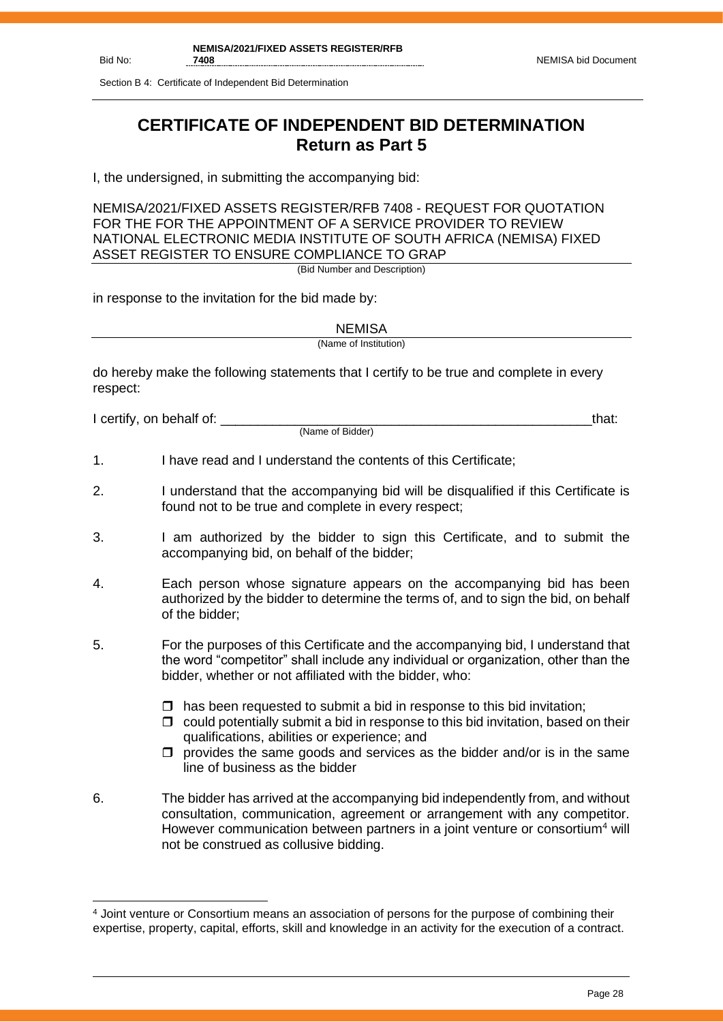Section B 4: Certificate of Independent Bid Determination

# **CERTIFICATE OF INDEPENDENT BID DETERMINATION Return as Part 5**

I, the undersigned, in submitting the accompanying bid:

NEMISA/2021/FIXED ASSETS REGISTER/RFB 7408 - REQUEST FOR QUOTATION FOR THE FOR THE APPOINTMENT OF A SERVICE PROVIDER TO REVIEW NATIONAL ELECTRONIC MEDIA INSTITUTE OF SOUTH AFRICA (NEMISA) FIXED ASSET REGISTER TO ENSURE COMPLIANCE TO GRAP

(Bid Number and Description)

in response to the invitation for the bid made by:

**NEMISA** 

(Name of Institution)

do hereby make the following statements that I certify to be true and complete in every respect:

I certify, on behalf of: the state of the state of the state of the state of the state of the state of the stat

(Name of Bidder)

- 1. I have read and I understand the contents of this Certificate;
- 2. I understand that the accompanying bid will be disqualified if this Certificate is found not to be true and complete in every respect;
- 3. I am authorized by the bidder to sign this Certificate, and to submit the accompanying bid, on behalf of the bidder;
- 4. Each person whose signature appears on the accompanying bid has been authorized by the bidder to determine the terms of, and to sign the bid, on behalf of the bidder;
- 5. For the purposes of this Certificate and the accompanying bid, I understand that the word "competitor" shall include any individual or organization, other than the bidder, whether or not affiliated with the bidder, who:
	- $\Box$  has been requested to submit a bid in response to this bid invitation;
	- $\Box$  could potentially submit a bid in response to this bid invitation, based on their qualifications, abilities or experience; and
	- $\Box$  provides the same goods and services as the bidder and/or is in the same line of business as the bidder
- 6. The bidder has arrived at the accompanying bid independently from, and without consultation, communication, agreement or arrangement with any competitor. However communication between partners in a joint venture or consortium<sup>4</sup> will not be construed as collusive bidding.

<sup>4</sup> Joint venture or Consortium means an association of persons for the purpose of combining their expertise, property, capital, efforts, skill and knowledge in an activity for the execution of a contract.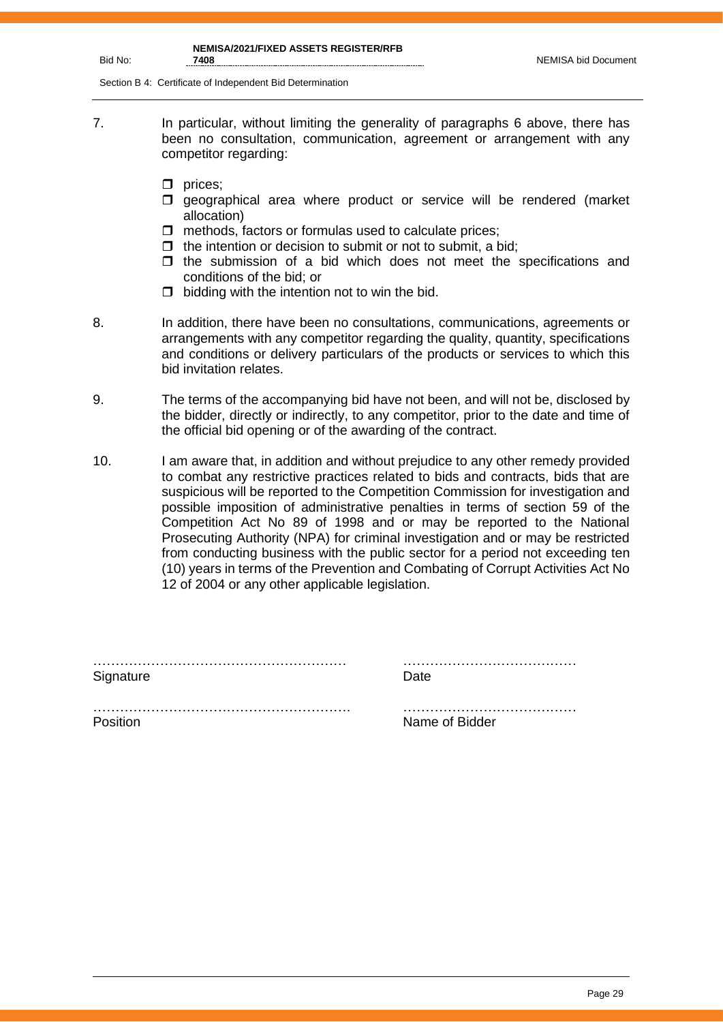Section B 4: Certificate of Independent Bid Determination

- 7. In particular, without limiting the generality of paragraphs 6 above, there has been no consultation, communication, agreement or arrangement with any competitor regarding:
	- $\Box$  prices;
	- $\square$  geographical area where product or service will be rendered (market allocation)
	- $\Box$  methods, factors or formulas used to calculate prices;
	- $\Box$  the intention or decision to submit or not to submit, a bid;
	- $\Box$  the submission of a bid which does not meet the specifications and conditions of the bid; or
	- $\Box$  bidding with the intention not to win the bid.
- 
- 8. In addition, there have been no consultations, communications, agreements or arrangements with any competitor regarding the quality, quantity, specifications and conditions or delivery particulars of the products or services to which this bid invitation relates.
- 9. The terms of the accompanying bid have not been, and will not be, disclosed by the bidder, directly or indirectly, to any competitor, prior to the date and time of the official bid opening or of the awarding of the contract.
- 10. I am aware that, in addition and without prejudice to any other remedy provided to combat any restrictive practices related to bids and contracts, bids that are suspicious will be reported to the Competition Commission for investigation and possible imposition of administrative penalties in terms of section 59 of the Competition Act No 89 of 1998 and or may be reported to the National Prosecuting Authority (NPA) for criminal investigation and or may be restricted from conducting business with the public sector for a period not exceeding ten (10) years in terms of the Prevention and Combating of Corrupt Activities Act No 12 of 2004 or any other applicable legislation.

| Signature | Date.          |
|-----------|----------------|
|           |                |
| Position  | Name of Bidder |

Page 29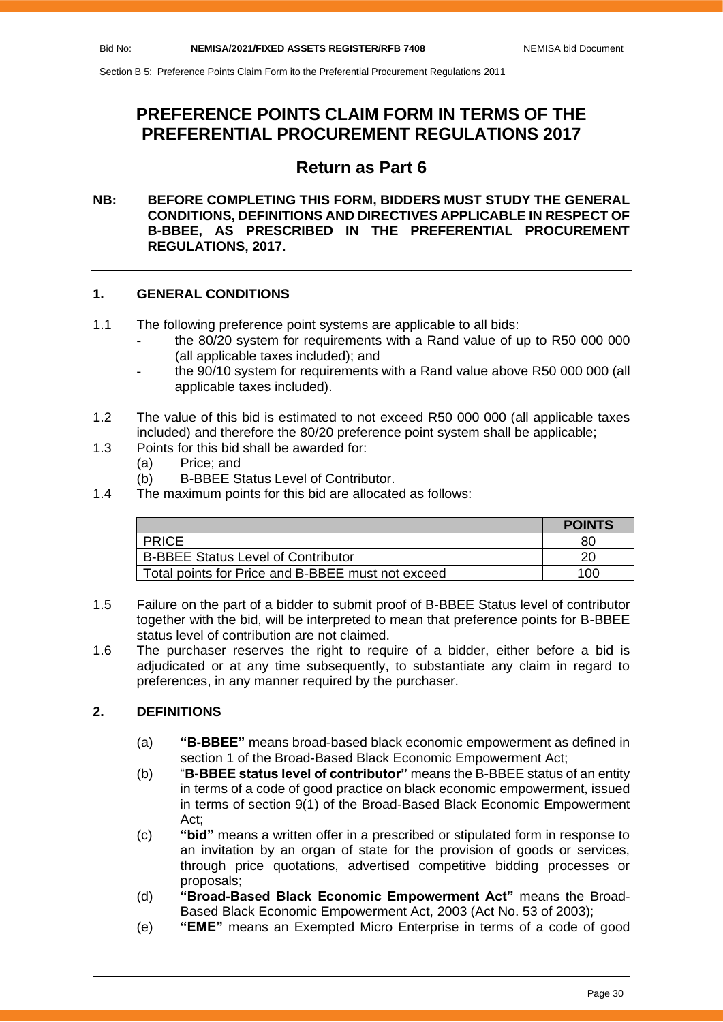# **PREFERENCE POINTS CLAIM FORM IN TERMS OF THE PREFERENTIAL PROCUREMENT REGULATIONS 2017**

# **Return as Part 6**

### **NB: BEFORE COMPLETING THIS FORM, BIDDERS MUST STUDY THE GENERAL CONDITIONS, DEFINITIONS AND DIRECTIVES APPLICABLE IN RESPECT OF B-BBEE, AS PRESCRIBED IN THE PREFERENTIAL PROCUREMENT REGULATIONS, 2017.**

# **1. GENERAL CONDITIONS**

- 1.1 The following preference point systems are applicable to all bids:
	- the 80/20 system for requirements with a Rand value of up to R50 000 000 (all applicable taxes included); and
	- the 90/10 system for requirements with a Rand value above R50 000 000 (all applicable taxes included).
- 1.2 The value of this bid is estimated to not exceed R50 000 000 (all applicable taxes included) and therefore the 80/20 preference point system shall be applicable;
- 1.3 Points for this bid shall be awarded for:
	- (a) Price; and
	- (b) B-BBEE Status Level of Contributor.
- 1.4 The maximum points for this bid are allocated as follows:

|                                                   | <b>POINTS</b> |
|---------------------------------------------------|---------------|
| <b>PRICE</b>                                      | 80            |
| <b>B-BBEE Status Level of Contributor</b>         | 20            |
| Total points for Price and B-BBEE must not exceed | 100           |

- 1.5 Failure on the part of a bidder to submit proof of B-BBEE Status level of contributor together with the bid, will be interpreted to mean that preference points for B-BBEE status level of contribution are not claimed.
- 1.6 The purchaser reserves the right to require of a bidder, either before a bid is adjudicated or at any time subsequently, to substantiate any claim in regard to preferences, in any manner required by the purchaser.

# **2. DEFINITIONS**

- (a) **"B-BBEE"** means broad-based black economic empowerment as defined in section 1 of the Broad-Based Black Economic Empowerment Act;
- (b) "**B-BBEE status level of contributor"** means the B-BBEE status of an entity in terms of a code of good practice on black economic empowerment, issued in terms of section 9(1) of the Broad-Based Black Economic Empowerment Act;
- (c) **"bid"** means a written offer in a prescribed or stipulated form in response to an invitation by an organ of state for the provision of goods or services, through price quotations, advertised competitive bidding processes or proposals;
- (d) **"Broad-Based Black Economic Empowerment Act"** means the Broad-Based Black Economic Empowerment Act, 2003 (Act No. 53 of 2003);
- (e) **"EME"** means an Exempted Micro Enterprise in terms of a code of good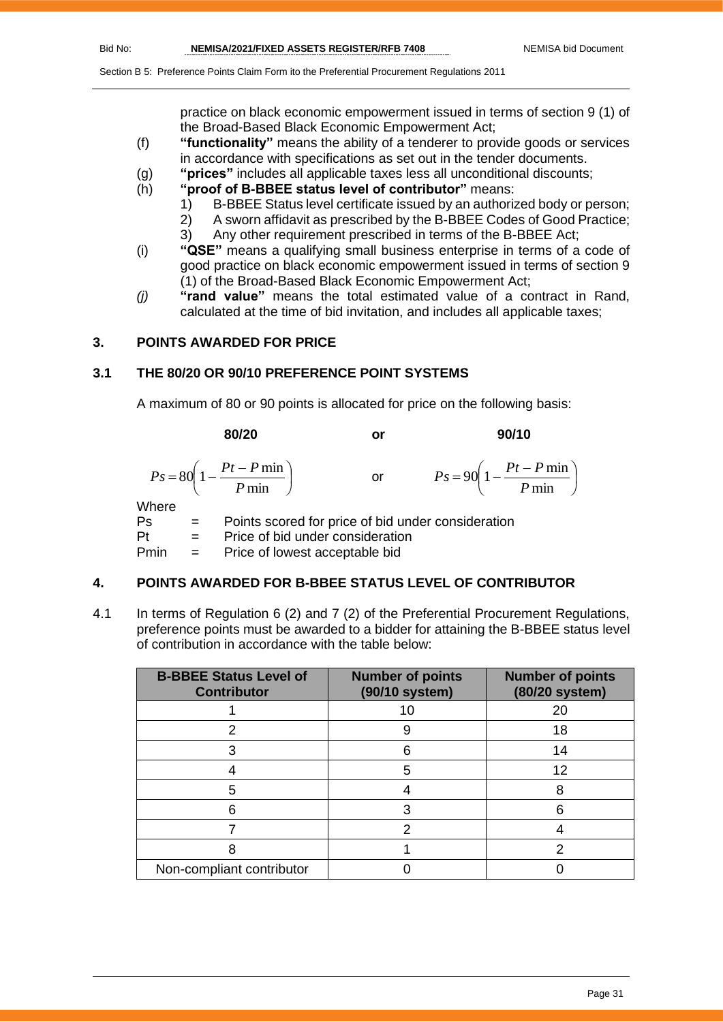practice on black economic empowerment issued in terms of section 9 (1) of the Broad-Based Black Economic Empowerment Act;

- (f) **"functionality"** means the ability of a tenderer to provide goods or services in accordance with specifications as set out in the tender documents.
- (g) **"prices"** includes all applicable taxes less all unconditional discounts;
- (h) **"proof of B-BBEE status level of contributor"** means:
	- 1) B-BBEE Status level certificate issued by an authorized body or person;
		- 2) A sworn affidavit as prescribed by the B-BBEE Codes of Good Practice;
	- 3) Any other requirement prescribed in terms of the B-BBEE Act;
- (i) **"QSE"** means a qualifying small business enterprise in terms of a code of good practice on black economic empowerment issued in terms of section 9 (1) of the Broad-Based Black Economic Empowerment Act;
- *(j)* **"rand value"** means the total estimated value of a contract in Rand, calculated at the time of bid invitation, and includes all applicable taxes;

# **3. POINTS AWARDED FOR PRICE**

# **3.1 THE 80/20 OR 90/10 PREFERENCE POINT SYSTEMS**

A maximum of 80 or 90 points is allocated for price on the following basis:

|       |              | 80/20                                                     | or | 90/10                                                     |
|-------|--------------|-----------------------------------------------------------|----|-----------------------------------------------------------|
|       |              | $P s = 80 \left( 1 - \frac{Pt - P \min P}{ \min} \right)$ | or | $P_s = 90 \left( 1 - \frac{Pt - P \min P}{ \min} \right)$ |
| Where |              |                                                           |    |                                                           |
| Ps    | $\alpha = 1$ | Points scored for price of bid under consideration        |    |                                                           |

Pt = Price of bid under consideration Pmin = Price of lowest acceptable bid

#### **4. POINTS AWARDED FOR B-BBEE STATUS LEVEL OF CONTRIBUTOR**

4.1 In terms of Regulation 6 (2) and 7 (2) of the Preferential Procurement Regulations, preference points must be awarded to a bidder for attaining the B-BBEE status level of contribution in accordance with the table below:

| <b>B-BBEE Status Level of</b><br><b>Contributor</b> | <b>Number of points</b><br>(90/10 system) | <b>Number of points</b><br>(80/20 system) |
|-----------------------------------------------------|-------------------------------------------|-------------------------------------------|
|                                                     | 10                                        | 20                                        |
|                                                     | 9                                         | 18                                        |
|                                                     | 6                                         | 14                                        |
|                                                     | 5                                         | 12                                        |
| 5                                                   |                                           | 8                                         |
| ค                                                   |                                           |                                           |
|                                                     | っ                                         |                                           |
|                                                     |                                           | າ                                         |
| Non-compliant contributor                           |                                           |                                           |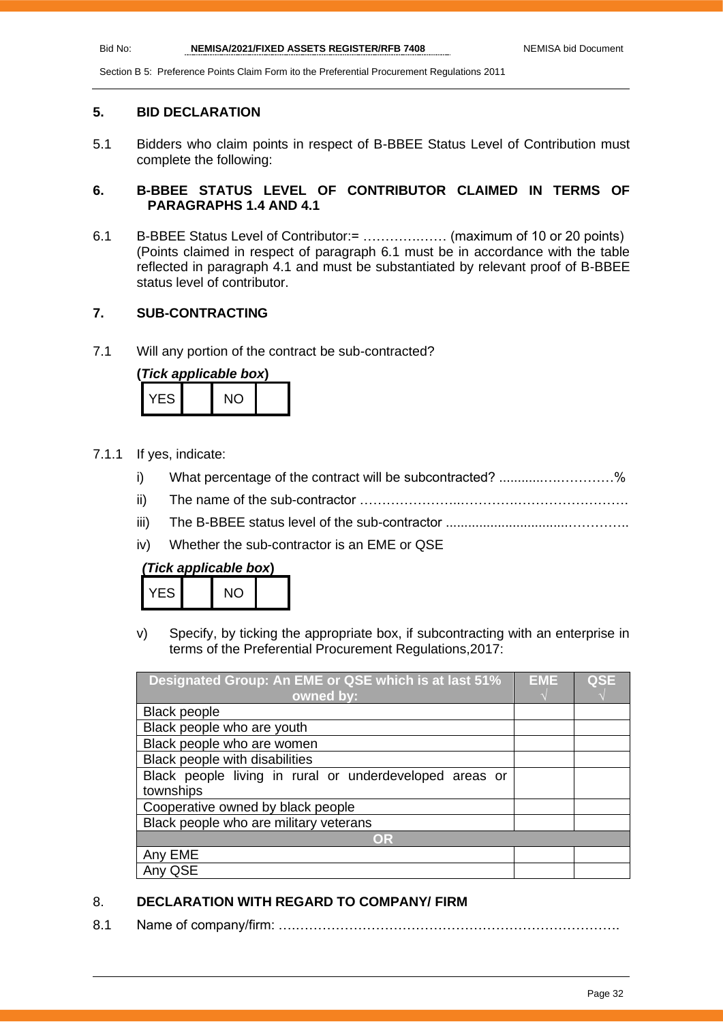#### **5. BID DECLARATION**

5.1 Bidders who claim points in respect of B-BBEE Status Level of Contribution must complete the following:

# **6. B-BBEE STATUS LEVEL OF CONTRIBUTOR CLAIMED IN TERMS OF PARAGRAPHS 1.4 AND 4.1**

6.1 B-BBEE Status Level of Contributor:= ………….…… (maximum of 10 or 20 points) (Points claimed in respect of paragraph 6.1 must be in accordance with the table reflected in paragraph 4.1 and must be substantiated by relevant proof of B-BBEE status level of contributor.

# **7. SUB-CONTRACTING**

7.1 Will any portion of the contract be sub-contracted?

| (Tick applicable box) |      |  |     |  |  |
|-----------------------|------|--|-----|--|--|
|                       | YFS. |  | NO. |  |  |

- 7.1.1 If yes, indicate:
	- i) What percentage of the contract will be subcontracted? ..........................%
	- ii) The name of the sub-contractor …………………..………….…………………….
	- iii) The B-BBEE status level of the sub-contractor .................................…………..
	- iv) Whether the sub-contractor is an EME or QSE

| (Tick applicable box) |  |  |
|-----------------------|--|--|
|-----------------------|--|--|

| VF<br>ES. | חוח |  |
|-----------|-----|--|

v) Specify, by ticking the appropriate box, if subcontracting with an enterprise in terms of the Preferential Procurement Regulations,2017:

| Designated Group: An EME or QSE which is at last 51%    | EME | <b>QSE</b> |
|---------------------------------------------------------|-----|------------|
| owned by:                                               |     |            |
| <b>Black people</b>                                     |     |            |
| Black people who are youth                              |     |            |
| Black people who are women                              |     |            |
| Black people with disabilities                          |     |            |
| Black people living in rural or underdeveloped areas or |     |            |
| townships                                               |     |            |
| Cooperative owned by black people                       |     |            |
| Black people who are military veterans                  |     |            |
| OR                                                      |     |            |
| Any EME                                                 |     |            |
| QSE                                                     |     |            |

# 8. **DECLARATION WITH REGARD TO COMPANY/ FIRM**

8.1 Name of company/firm: ….……………………………………………………………….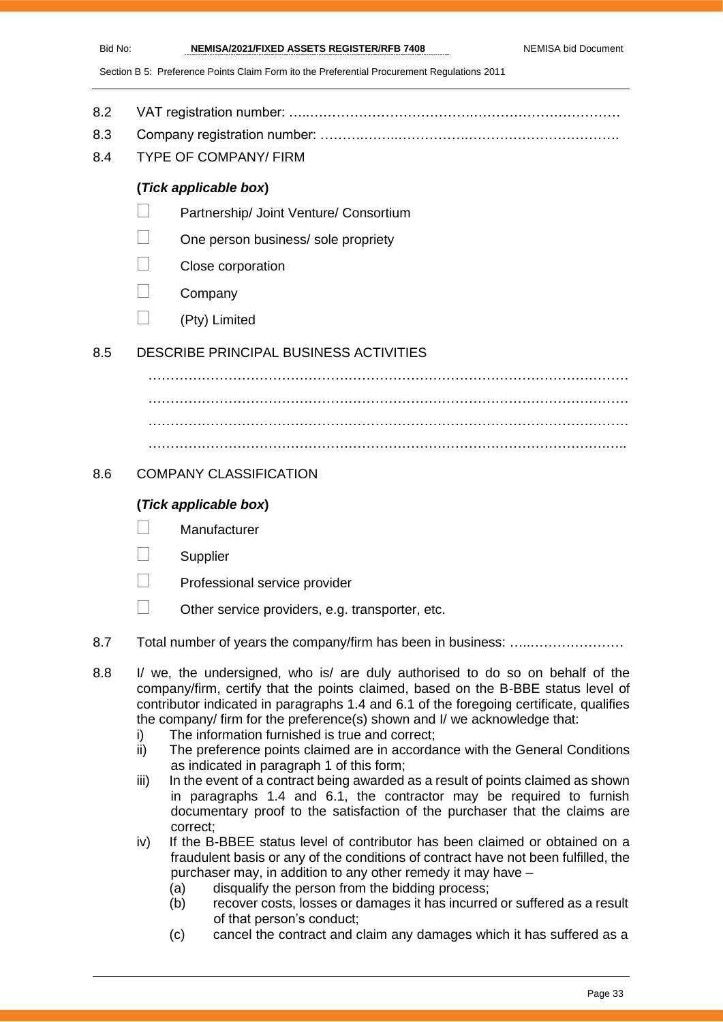- 8.2 VAT registration number: …..……………………………….……………………………
- 8.3 Company registration number: ……….……..…………….…………………………….
- 8.4 TYPE OF COMPANY/ FIRM

# **(***Tick applicable box***)**

- Partnership/ Joint Venture/ Consortium
- One person business/ sole propriety
- Close corporation
- **Company**
- $\Box$  (Pty) Limited

# 8.5 DESCRIBE PRINCIPAL BUSINESS ACTIVITIES

……………………………………………………………………………………………… ……………………………………………………………………………………………… ……………………………………………………………………………………………… ………………………………………………………………………………………….…..

# 8.6 COMPANY CLASSIFICATION

# **(***Tick applicable box***)**

- **Manufacturer**
- **Supplier**
- Professional service provider
- $\Box$  Other service providers, e.g. transporter, etc.
- 8.7 Total number of years the company/firm has been in business: …………………………
- 8.8 I/ we, the undersigned, who is/ are duly authorised to do so on behalf of the company/firm, certify that the points claimed, based on the B-BBE status level of contributor indicated in paragraphs 1.4 and 6.1 of the foregoing certificate, qualifies the company/ firm for the preference(s) shown and I/ we acknowledge that:
	- i) The information furnished is true and correct;
	- ii) The preference points claimed are in accordance with the General Conditions as indicated in paragraph 1 of this form;
	- iii) In the event of a contract being awarded as a result of points claimed as shown in paragraphs 1.4 and 6.1, the contractor may be required to furnish documentary proof to the satisfaction of the purchaser that the claims are correct;
	- iv) If the B-BBEE status level of contributor has been claimed or obtained on a fraudulent basis or any of the conditions of contract have not been fulfilled, the purchaser may, in addition to any other remedy it may have –
		- (a) disqualify the person from the bidding process;
		- (b) recover costs, losses or damages it has incurred or suffered as a result of that person's conduct;
		- (c) cancel the contract and claim any damages which it has suffered as a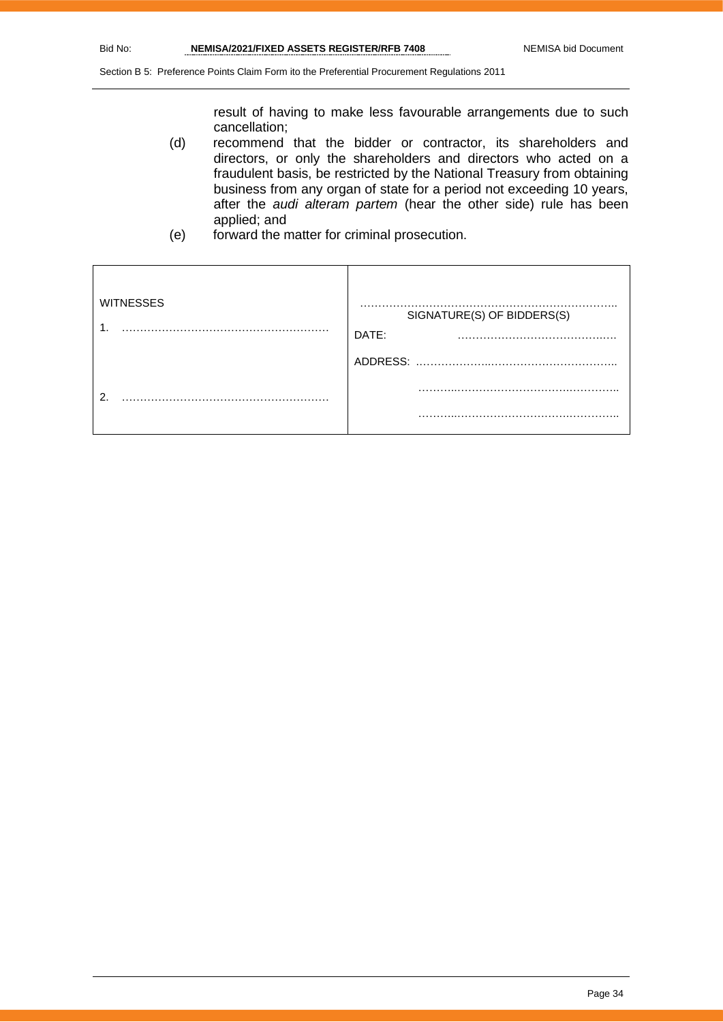result of having to make less favourable arrangements due to such cancellation;

- (d) recommend that the bidder or contractor, its shareholders and directors, or only the shareholders and directors who acted on a fraudulent basis, be restricted by the National Treasury from obtaining business from any organ of state for a period not exceeding 10 years, after the *audi alteram partem* (hear the other side) rule has been applied; and
- (e) forward the matter for criminal prosecution.

| <b>WITNESSES</b><br>٠ | .<br>SIGNATURE(S) OF BIDDERS(S)<br>DATE:<br>. |
|-----------------------|-----------------------------------------------|
|                       | ADDRESS:                                      |
| ົ                     | .                                             |
|                       | .                                             |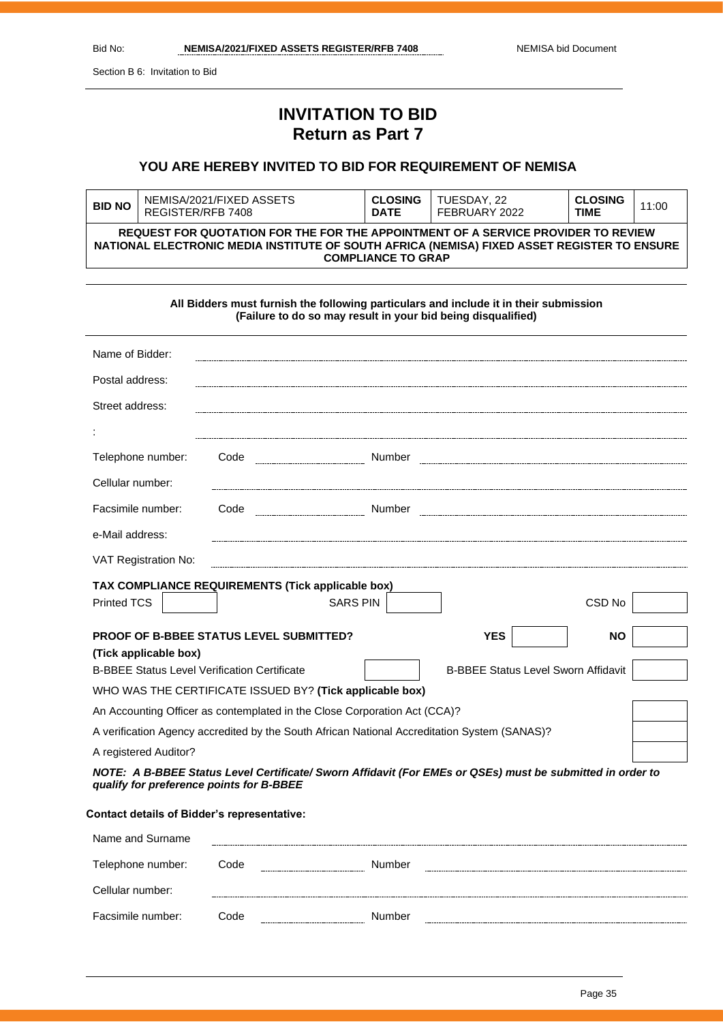Section B 6: Invitation to Bid

Cellular number:

Facsimile number: Code Number

----------------

# **INVITATION TO BID Return as Part 7**

# **YOU ARE HEREBY INVITED TO BID FOR REQUIREMENT OF NEMISA**

| <b>BID NO</b>                                                                                                                                                                                                 | NEMISA/2021/FIXED ASSETS<br>REGISTER/RFB 7408 | <b>CLOSING</b><br><b>DATE</b> | TUESDAY, 22<br>FEBRUARY 2022 | <b>CLOSING</b><br>TIME | 11:00 |
|---------------------------------------------------------------------------------------------------------------------------------------------------------------------------------------------------------------|-----------------------------------------------|-------------------------------|------------------------------|------------------------|-------|
| REQUEST FOR QUOTATION FOR THE FOR THE APPOINTMENT OF A SERVICE PROVIDER TO REVIEW<br>NATIONAL ELECTRONIC MEDIA INSTITUTE OF SOUTH AFRICA (NEMISA) FIXED ASSET REGISTER TO ENSURE<br><b>COMPLIANCE TO GRAP</b> |                                               |                               |                              |                        |       |

**All Bidders must furnish the following particulars and include it in their submission (Failure to do so may result in your bid being disqualified)**

| Name of Bidder:                                                                                                                                       |                                                          |                                                                                              |                                            |                   |  |
|-------------------------------------------------------------------------------------------------------------------------------------------------------|----------------------------------------------------------|----------------------------------------------------------------------------------------------|--------------------------------------------|-------------------|--|
| Postal address:                                                                                                                                       |                                                          |                                                                                              |                                            |                   |  |
| Street address:                                                                                                                                       |                                                          |                                                                                              |                                            |                   |  |
|                                                                                                                                                       |                                                          |                                                                                              |                                            |                   |  |
| Telephone number:                                                                                                                                     | Code                                                     | Number                                                                                       |                                            |                   |  |
| Cellular number:                                                                                                                                      |                                                          |                                                                                              |                                            |                   |  |
| Facsimile number:                                                                                                                                     | Code                                                     |                                                                                              |                                            |                   |  |
| e-Mail address:                                                                                                                                       |                                                          |                                                                                              |                                            |                   |  |
| VAT Registration No:                                                                                                                                  |                                                          |                                                                                              |                                            |                   |  |
|                                                                                                                                                       | TAX COMPLIANCE REQUIREMENTS (Tick applicable box)        |                                                                                              |                                            |                   |  |
| <b>Printed TCS</b>                                                                                                                                    |                                                          | <b>SARS PIN</b>                                                                              |                                            | CSD <sub>No</sub> |  |
| <b>YES</b><br><b>PROOF OF B-BBEE STATUS LEVEL SUBMITTED?</b><br><b>NO</b>                                                                             |                                                          |                                                                                              |                                            |                   |  |
| (Tick applicable box)                                                                                                                                 |                                                          |                                                                                              |                                            |                   |  |
|                                                                                                                                                       | <b>B-BBEE Status Level Verification Certificate</b>      |                                                                                              | <b>B-BBEE Status Level Sworn Affidavit</b> |                   |  |
|                                                                                                                                                       | WHO WAS THE CERTIFICATE ISSUED BY? (Tick applicable box) |                                                                                              |                                            |                   |  |
|                                                                                                                                                       |                                                          | An Accounting Officer as contemplated in the Close Corporation Act (CCA)?                    |                                            |                   |  |
|                                                                                                                                                       |                                                          | A verification Agency accredited by the South African National Accreditation System (SANAS)? |                                            |                   |  |
| A registered Auditor?                                                                                                                                 |                                                          |                                                                                              |                                            |                   |  |
| NOTE: A B-BBEE Status Level Certificate/ Sworn Affidavit (For EMEs or QSEs) must be submitted in order to<br>qualify for preference points for B-BBEE |                                                          |                                                                                              |                                            |                   |  |
|                                                                                                                                                       | <b>Contact details of Bidder's representative:</b>       |                                                                                              |                                            |                   |  |
| Name and Surname                                                                                                                                      |                                                          |                                                                                              |                                            |                   |  |
| Telephone number:                                                                                                                                     | Code                                                     | Number                                                                                       |                                            |                   |  |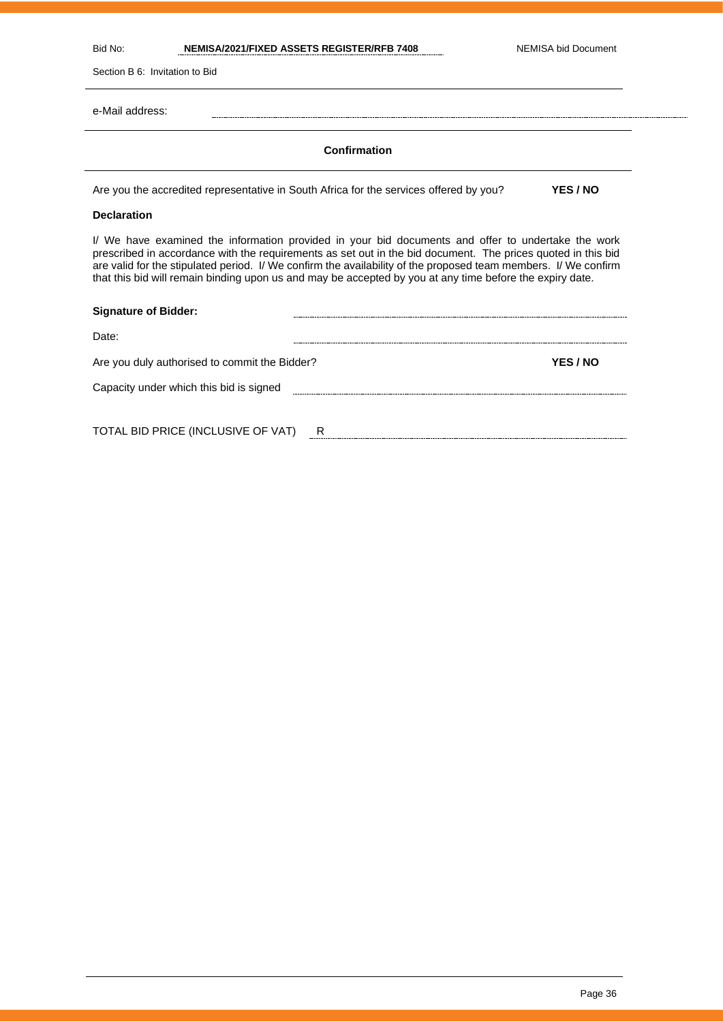Bid No: **NEMISA/2021/FIXED ASSETS REGISTER/RFB 7408** NEMISA bid Document

Section B 6: Invitation to Bid

e-Mail address:

#### **Confirmation**

Are you the accredited representative in South Africa for the services offered by you? **YES / NO**

#### **Declaration**

I/ We have examined the information provided in your bid documents and offer to undertake the work prescribed in accordance with the requirements as set out in the bid document. The prices quoted in this bid are valid for the stipulated period. I/ We confirm the availability of the proposed team members. I/ We confirm that this bid will remain binding upon us and may be accepted by you at any time before the expiry date.

| <b>Signature of Bidder:</b>                   |   |                 |
|-----------------------------------------------|---|-----------------|
| Date:                                         |   |                 |
| Are you duly authorised to commit the Bidder? |   | <b>YES / NO</b> |
| Capacity under which this bid is signed       |   |                 |
|                                               |   |                 |
| TOTAL BID PRICE (INCLUSIVE OF VAT)            | R |                 |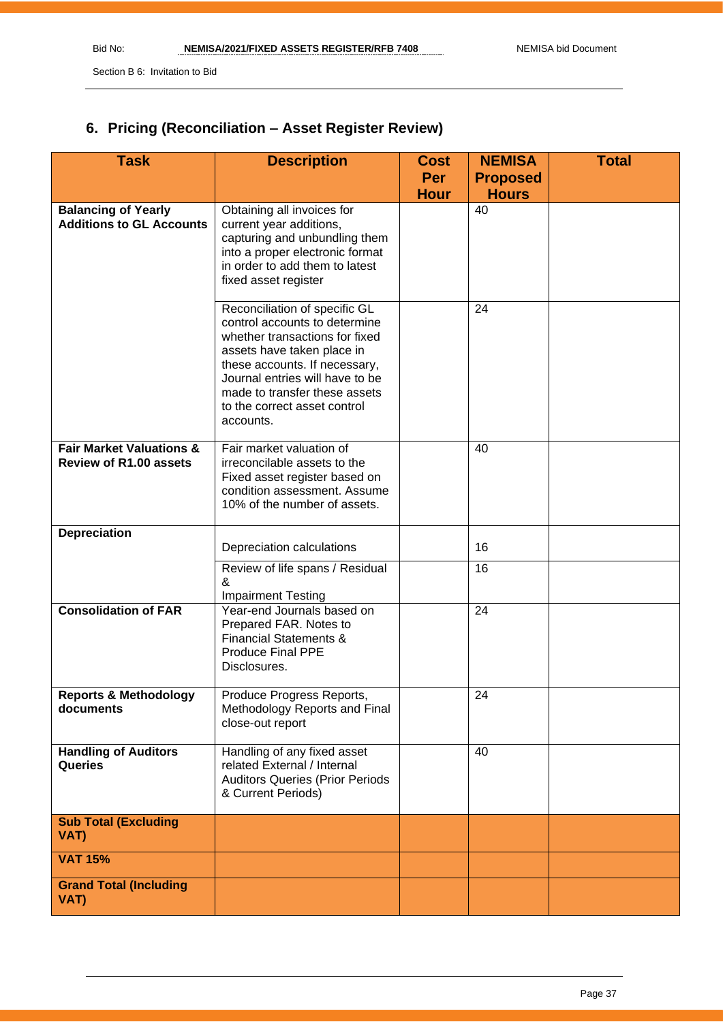Section B 6: Invitation to Bid

# **6. Pricing (Reconciliation – Asset Register Review)**

| <b>Task</b>                                                          | <b>Description</b>                                                                                                                                                                                                                                                               | <b>Cost</b><br>Per | <b>NEMISA</b><br><b>Proposed</b> | <b>Total</b> |
|----------------------------------------------------------------------|----------------------------------------------------------------------------------------------------------------------------------------------------------------------------------------------------------------------------------------------------------------------------------|--------------------|----------------------------------|--------------|
|                                                                      |                                                                                                                                                                                                                                                                                  | <b>Hour</b>        | <b>Hours</b>                     |              |
| <b>Balancing of Yearly</b><br><b>Additions to GL Accounts</b>        | Obtaining all invoices for<br>current year additions,<br>capturing and unbundling them<br>into a proper electronic format<br>in order to add them to latest<br>fixed asset register                                                                                              |                    | 40                               |              |
|                                                                      | Reconciliation of specific GL<br>control accounts to determine<br>whether transactions for fixed<br>assets have taken place in<br>these accounts. If necessary,<br>Journal entries will have to be<br>made to transfer these assets<br>to the correct asset control<br>accounts. |                    | 24                               |              |
| <b>Fair Market Valuations &amp;</b><br><b>Review of R1.00 assets</b> | Fair market valuation of<br>irreconcilable assets to the<br>Fixed asset register based on<br>condition assessment. Assume<br>10% of the number of assets.                                                                                                                        |                    | 40                               |              |
| <b>Depreciation</b>                                                  |                                                                                                                                                                                                                                                                                  |                    |                                  |              |
|                                                                      | Depreciation calculations                                                                                                                                                                                                                                                        |                    | 16                               |              |
|                                                                      | Review of life spans / Residual<br>&<br><b>Impairment Testing</b>                                                                                                                                                                                                                |                    | 16                               |              |
| <b>Consolidation of FAR</b>                                          | Year-end Journals based on<br>Prepared FAR. Notes to<br><b>Financial Statements &amp;</b><br><b>Produce Final PPE</b><br>Disclosures.                                                                                                                                            |                    | 24                               |              |
| <b>Reports &amp; Methodology</b><br>documents                        | Produce Progress Reports,<br>Methodology Reports and Final<br>close-out report                                                                                                                                                                                                   |                    | 24                               |              |
| <b>Handling of Auditors</b><br>Queries                               | Handling of any fixed asset<br>related External / Internal<br><b>Auditors Queries (Prior Periods</b><br>& Current Periods)                                                                                                                                                       |                    | 40                               |              |
| <b>Sub Total (Excluding</b><br>VAT)                                  |                                                                                                                                                                                                                                                                                  |                    |                                  |              |
| <b>VAT 15%</b>                                                       |                                                                                                                                                                                                                                                                                  |                    |                                  |              |
| <b>Grand Total (Including</b><br>VAT)                                |                                                                                                                                                                                                                                                                                  |                    |                                  |              |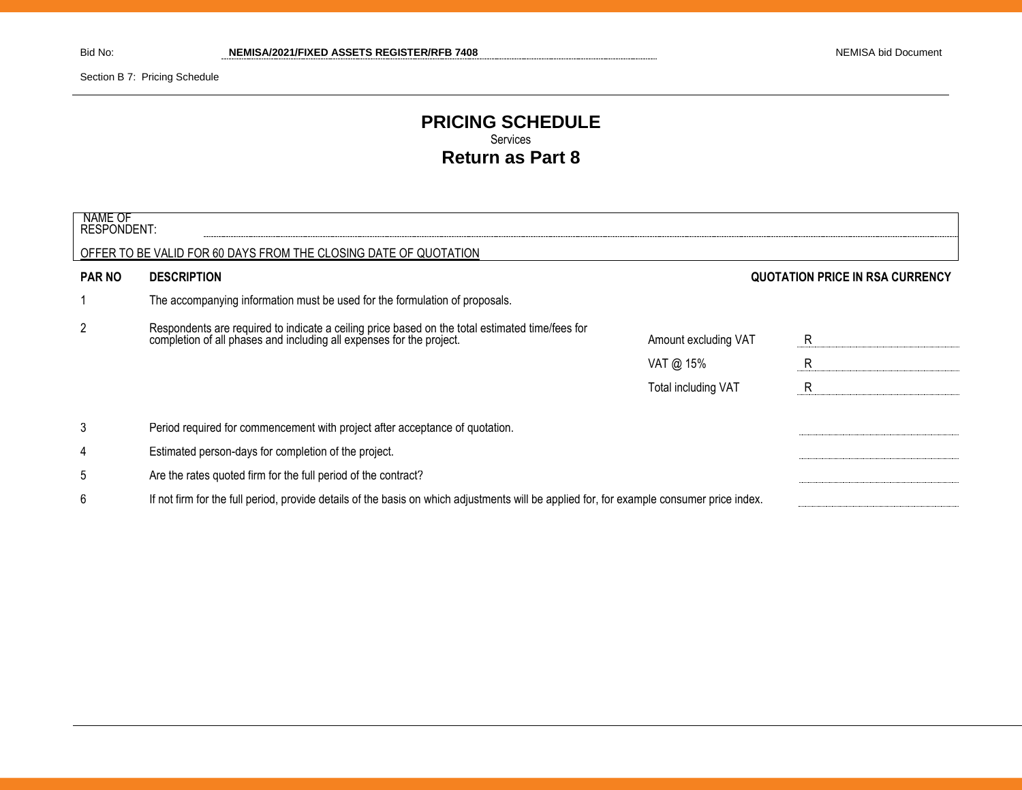Section B 7: Pricing Schedule

# **PRICING SCHEDULE** Services **Return as Part 8**

| NAME OF<br><b>RESPONDENT:</b> |                                                                                                                                                                      |                      |                                        |
|-------------------------------|----------------------------------------------------------------------------------------------------------------------------------------------------------------------|----------------------|----------------------------------------|
|                               | OFFER TO BE VALID FOR 60 DAYS FROM THE CLOSING DATE OF QUOTATION                                                                                                     |                      |                                        |
| <b>PAR NO</b>                 | <b>DESCRIPTION</b>                                                                                                                                                   |                      | <b>QUOTATION PRICE IN RSA CURRENCY</b> |
|                               | The accompanying information must be used for the formulation of proposals.                                                                                          |                      |                                        |
| $\overline{2}$                | Respondents are required to indicate a ceiling price based on the total estimated time/fees for completion of all phases and including all expenses for the project. | Amount excluding VAT | R                                      |
|                               |                                                                                                                                                                      | VAT @ $15%$          | R                                      |
|                               |                                                                                                                                                                      | Total including VAT  | R                                      |
| 3                             | Period required for commencement with project after acceptance of quotation.                                                                                         |                      |                                        |
| 4                             | Estimated person-days for completion of the project.                                                                                                                 |                      |                                        |
| 5                             | Are the rates quoted firm for the full period of the contract?                                                                                                       |                      |                                        |
| 6                             | If not firm for the full period, provide details of the basis on which adjustments will be applied for, for example consumer price index.                            |                      |                                        |